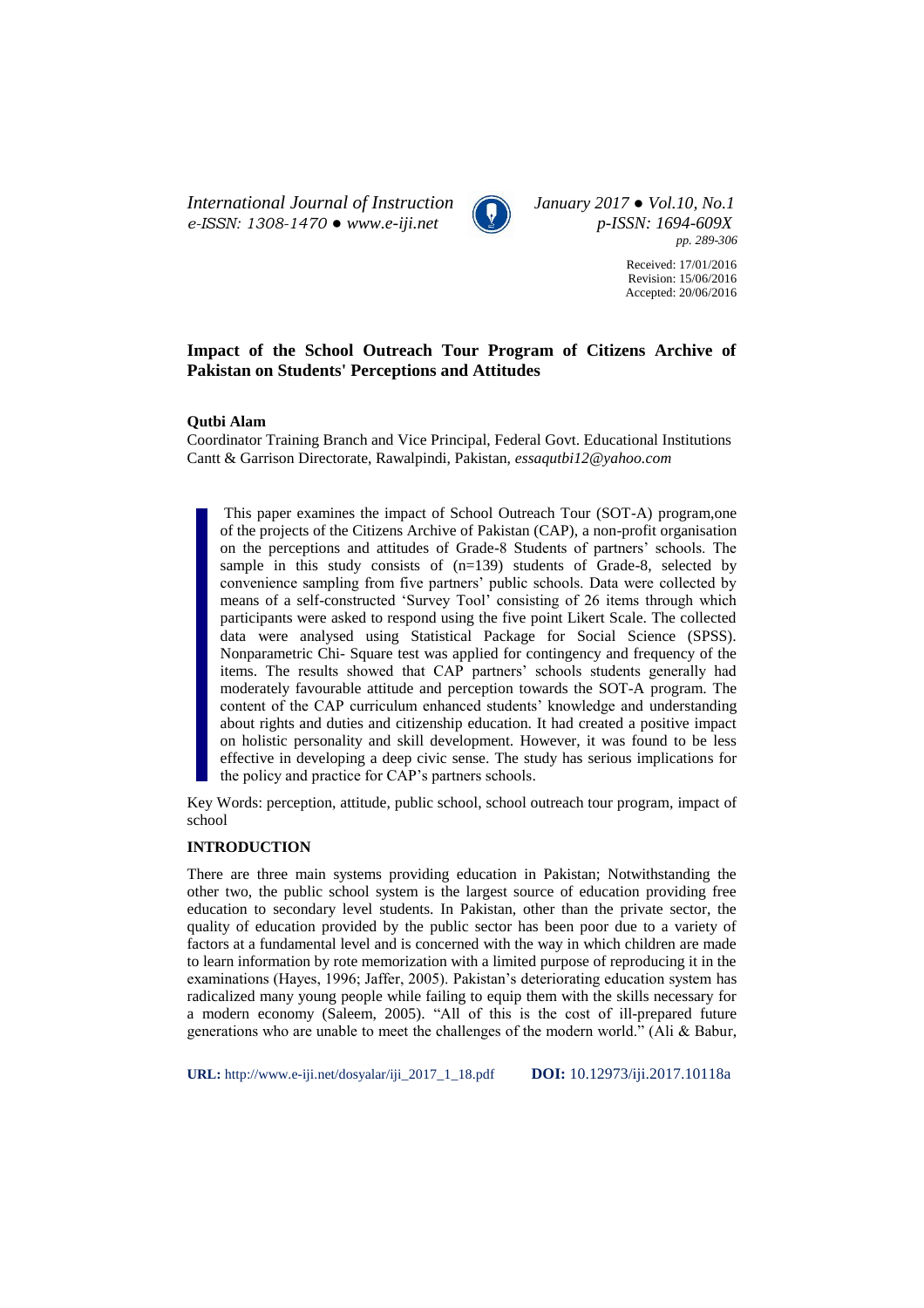*International Journal of Instruction January 2017 ● Vol.10, No.1 e-ISSN: 1308-1470 ● www.e-iji.net p-ISSN: 1694-609X*



*pp. 289-306*

Received: 17/01/2016 Revision: 15/06/2016 Accepted: 20/06/2016

# **Impact of the School Outreach Tour Program of Citizens Archive of Pakistan on Students' Perceptions and Attitudes**

## **Qutbi Alam**

Coordinator Training Branch and Vice Principal, Federal Govt. Educational Institutions Cantt & Garrison Directorate, Rawalpindi, Pakistan, *essaqutbi12@yahoo.com*

This paper examines the impact of School Outreach Tour (SOT-A) program,one of the projects of the Citizens Archive of Pakistan (CAP), a non-profit organisation on the perceptions and attitudes of Grade-8 Students of partners' schools. The sample in this study consists of  $(n=139)$  students of Grade-8, selected by convenience sampling from five partners' public schools. Data were collected by means of a self-constructed 'Survey Tool' consisting of 26 items through which participants were asked to respond using the five point Likert Scale. The collected data were analysed using Statistical Package for Social Science (SPSS). Nonparametric Chi- Square test was applied for contingency and frequency of the items. The results showed that CAP partners' schools students generally had moderately favourable attitude and perception towards the SOT-A program. The content of the CAP curriculum enhanced students' knowledge and understanding about rights and duties and citizenship education. It had created a positive impact on holistic personality and skill development. However, it was found to be less effective in developing a deep civic sense. The study has serious implications for the policy and practice for CAP's partners schools.

Key Words: perception, attitude, public school, school outreach tour program, impact of school

# **INTRODUCTION**

There are three main systems providing education in Pakistan; Notwithstanding the other two, the public school system is the largest source of education providing free education to secondary level students. In Pakistan, other than the private sector, the quality of education provided by the public sector has been poor due to a variety of factors at a fundamental level and is concerned with the way in which children are made to learn information by rote memorization with a limited purpose of reproducing it in the examinations (Hayes, 1996; Jaffer, 2005). Pakistan's deteriorating education system has radicalized many young people while failing to equip them with the skills necessary for a modern economy (Saleem, 2005). "All of this is the cost of ill-prepared future generations who are unable to meet the challenges of the modern world." (Ali & Babur,

**URL:** http://www.e-iji.net/dosyalar/iji\_2017\_1\_18.pdf **DOI:** 10.12973/iji.2017.10118a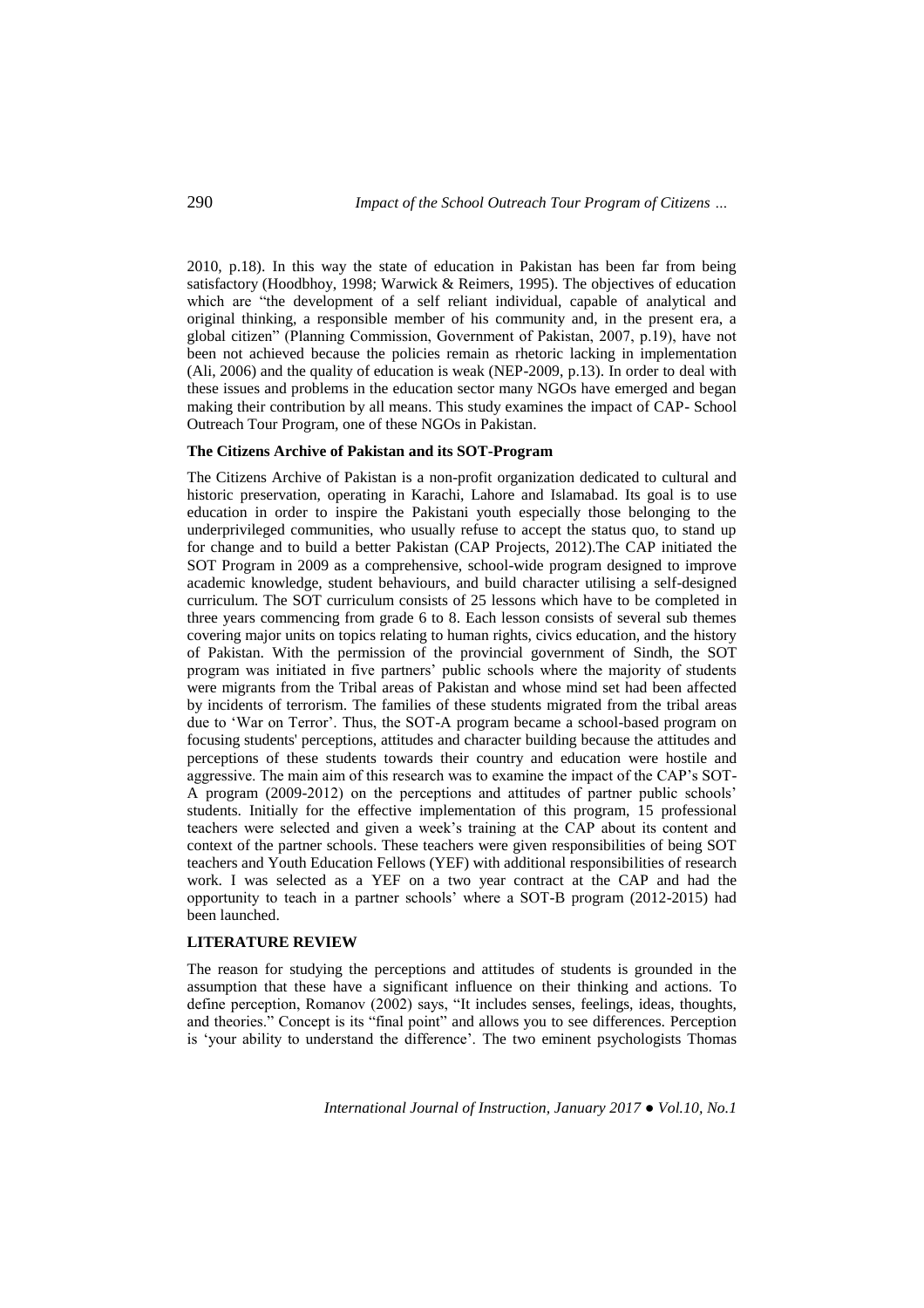2010, p.18). In this way the state of education in Pakistan has been far from being satisfactory (Hoodbhoy, 1998; Warwick & Reimers, 1995). The objectives of education which are "the development of a self reliant individual, capable of analytical and original thinking, a responsible member of his community and, in the present era, a global citizen" (Planning Commission, Government of Pakistan, 2007, p.19), have not been not achieved because the policies remain as rhetoric lacking in implementation (Ali, 2006) and the quality of education is weak (NEP-2009, p.13). In order to deal with these issues and problems in the education sector many NGOs have emerged and began making their contribution by all means. This study examines the impact of CAP- School Outreach Tour Program, one of these NGOs in Pakistan.

## **The Citizens Archive of Pakistan and its SOT-Program**

The Citizens Archive of Pakistan is a non-profit organization dedicated to cultural and historic preservation, operating in Karachi, Lahore and Islamabad. Its goal is to use education in order to inspire the Pakistani youth especially those belonging to the underprivileged communities, who usually refuse to accept the status quo, to stand up for change and to build a better Pakistan (CAP Projects, 2012).The CAP initiated the SOT Program in 2009 as a comprehensive, school-wide program designed to improve academic knowledge, student behaviours, and build character utilising a self-designed curriculum. The SOT curriculum consists of 25 lessons which have to be completed in three years commencing from grade 6 to 8. Each lesson consists of several sub themes covering major units on topics relating to human rights, civics education, and the history of Pakistan. With the permission of the provincial government of Sindh, the SOT program was initiated in five partners' public schools where the majority of students were migrants from the Tribal areas of Pakistan and whose mind set had been affected by incidents of terrorism. The families of these students migrated from the tribal areas due to 'War on Terror'. Thus, the SOT-A program became a school-based program on focusing students' perceptions, attitudes and character building because the attitudes and perceptions of these students towards their country and education were hostile and aggressive. The main aim of this research was to examine the impact of the CAP's SOT-A program (2009-2012) on the perceptions and attitudes of partner public schools' students. Initially for the effective implementation of this program, 15 professional teachers were selected and given a week's training at the CAP about its content and context of the partner schools. These teachers were given responsibilities of being SOT teachers and Youth Education Fellows (YEF) with additional responsibilities of research work. I was selected as a YEF on a two year contract at the CAP and had the opportunity to teach in a partner schools' where a SOT-B program (2012-2015) had been launched.

## **LITERATURE REVIEW**

The reason for studying the perceptions and attitudes of students is grounded in the assumption that these have a significant influence on their thinking and actions. To define perception, Romanov (2002) says, "It includes senses, feelings, ideas, thoughts, and theories." Concept is its "final point" and allows you to see differences. Perception is 'your ability to understand the difference'. The two eminent psychologists Thomas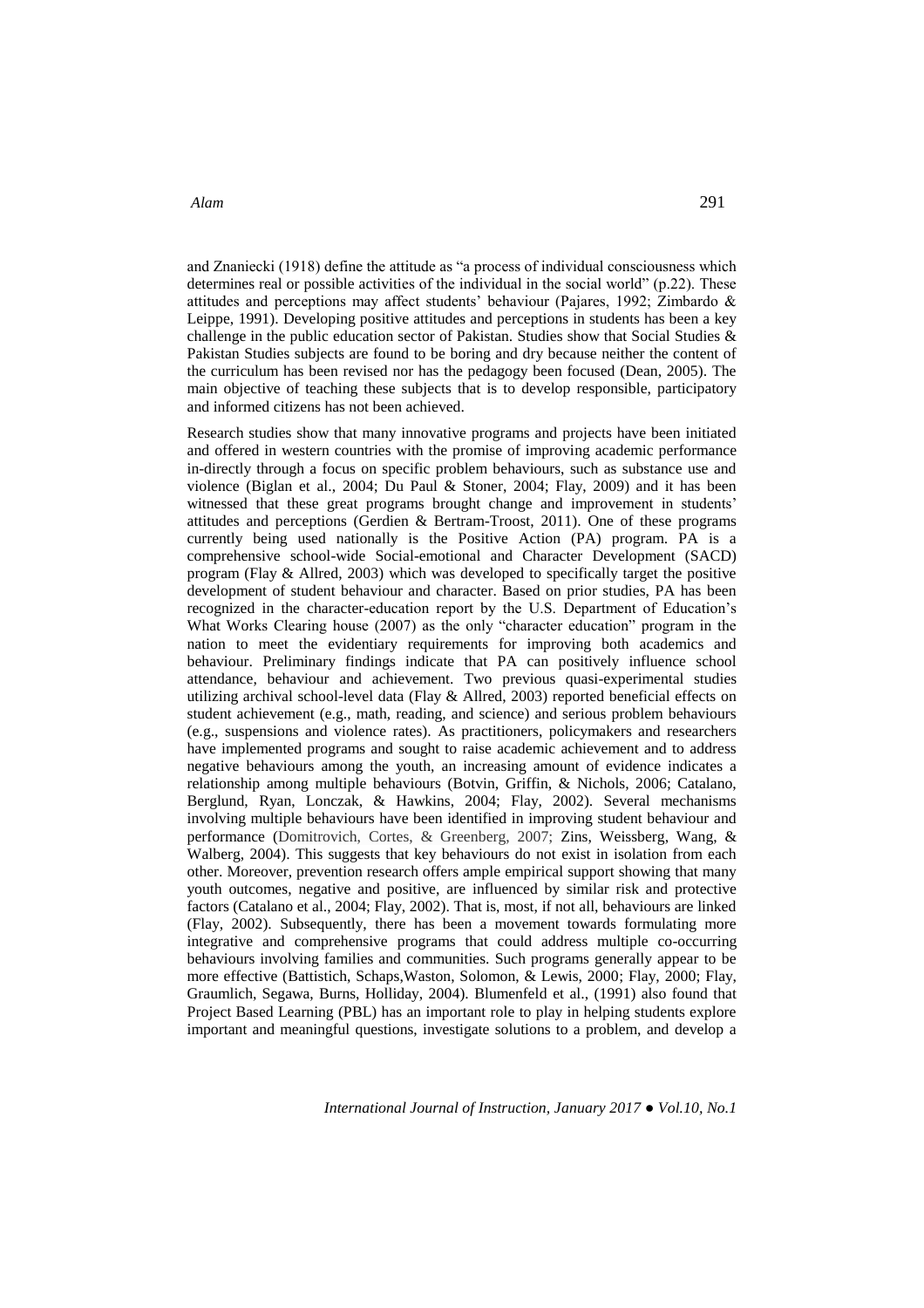and Znaniecki (1918) define the attitude as "a process of individual consciousness which determines real or possible activities of the individual in the social world" (p.22). These attitudes and perceptions may affect students' behaviour (Pajares, 1992; Zimbardo & Leippe, 1991). Developing positive attitudes and perceptions in students has been a key challenge in the public education sector of Pakistan. Studies show that Social Studies & Pakistan Studies subjects are found to be boring and dry because neither the content of the curriculum has been revised nor has the pedagogy been focused (Dean, 2005). The main objective of teaching these subjects that is to develop responsible, participatory and informed citizens has not been achieved.

Research studies show that many innovative programs and projects have been initiated and offered in western countries with the promise of improving academic performance in-directly through a focus on specific problem behaviours, such as substance use and violence (Biglan et al., 2004; Du Paul & Stoner, 2004; Flay, 2009) and it has been witnessed that these great programs brought change and improvement in students' attitudes and perceptions (Gerdien & Bertram-Troost, 2011). One of these programs currently being used nationally is the Positive Action (PA) program. PA is a comprehensive school-wide Social-emotional and Character Development (SACD) program (Flay & Allred, 2003) which was developed to specifically target the positive development of student behaviour and character. Based on prior studies, PA has been recognized in the character-education report by the U.S. Department of Education's What Works Clearing house (2007) as the only "character education" program in the nation to meet the evidentiary requirements for improving both academics and behaviour. Preliminary findings indicate that PA can positively influence school attendance, behaviour and achievement. Two previous quasi-experimental studies utilizing archival school-level data (Flay & Allred, 2003) reported beneficial effects on student achievement (e.g., math, reading, and science) and serious problem behaviours (e.g., suspensions and violence rates). As practitioners, policymakers and researchers have implemented programs and sought to raise academic achievement and to address negative behaviours among the youth, an increasing amount of evidence indicates a relationship among multiple behaviours (Botvin, Griffin, & Nichols, 2006; Catalano, Berglund, Ryan, Lonczak, & Hawkins, 2004; Flay, 2002). Several mechanisms involving multiple behaviours have been identified in improving student behaviour and performance (Domitrovich, Cortes, & Greenberg, 2007; Zins, Weissberg, Wang, & Walberg, 2004). This suggests that key behaviours do not exist in isolation from each other. Moreover, prevention research offers ample empirical support showing that many youth outcomes, negative and positive, are influenced by similar risk and protective factors (Catalano et al., 2004; Flay, 2002). That is, most, if not all, behaviours are linked (Flay, 2002). Subsequently, there has been a movement towards formulating more integrative and comprehensive programs that could address multiple co-occurring behaviours involving families and communities. Such programs generally appear to be more effective (Battistich, Schaps,Waston, Solomon, & Lewis, 2000; Flay, 2000; Flay, Graumlich, Segawa, Burns, Holliday, 2004). Blumenfeld et al., (1991) also found that Project Based Learning (PBL) has an important role to play in helping students explore important and meaningful questions, investigate solutions to a problem, and develop a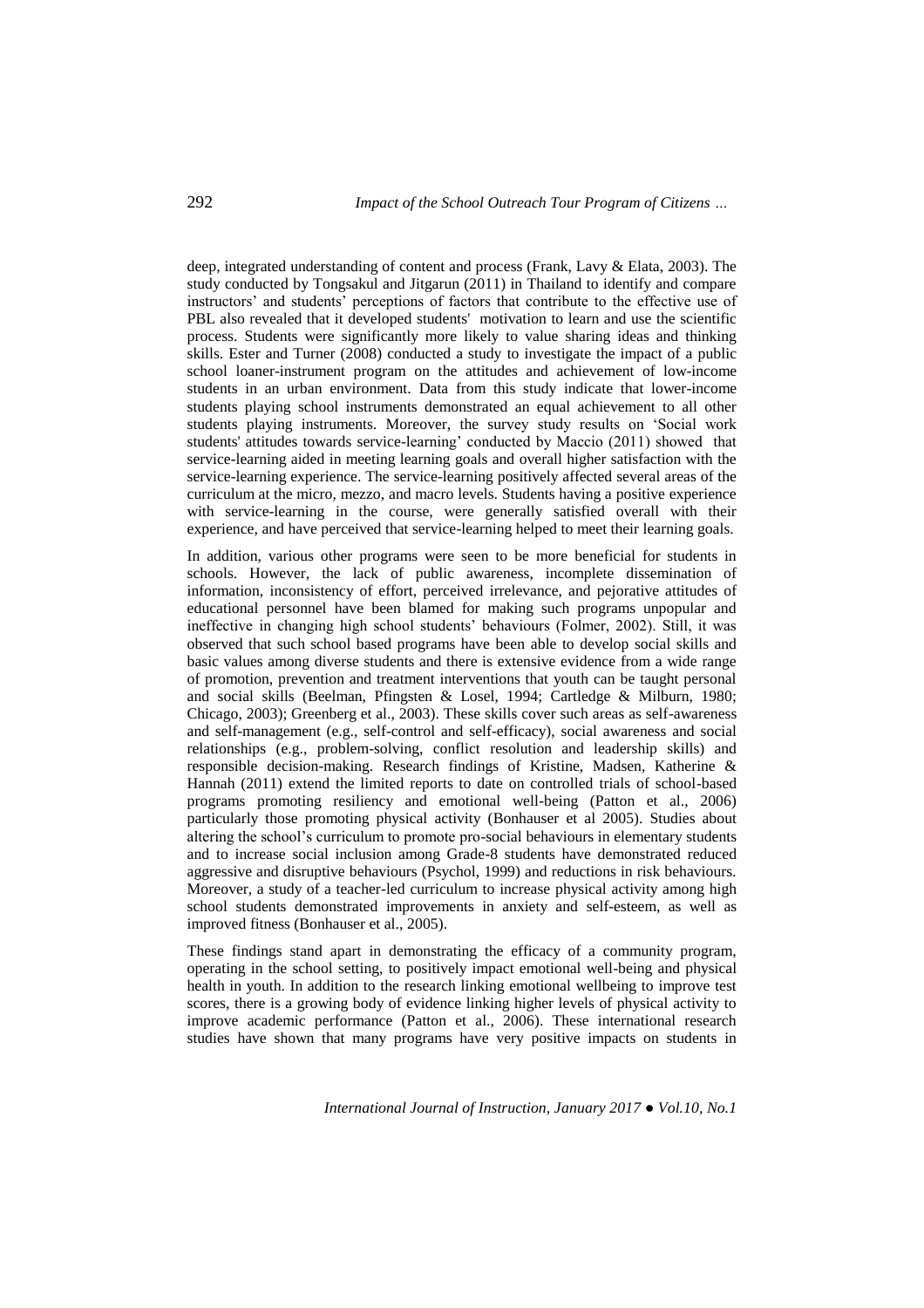deep, integrated understanding of content and process (Frank, Lavy & Elata, 2003). The study conducted by Tongsakul and Jitgarun (2011) in Thailand to identify and compare instructors' and students' perceptions of factors that contribute to the effective use of PBL also revealed that it developed students' motivation to learn and use the scientific process. Students were significantly more likely to value sharing ideas and thinking skills. Ester and Turner (2008) conducted a study to investigate the impact of a public school loaner-instrument program on the attitudes and achievement of low-income students in an urban environment. Data from this study indicate that lower-income students playing school instruments demonstrated an equal achievement to all other students playing instruments. Moreover, the survey study results on 'Social work students' attitudes towards service-learning' conducted by Maccio (2011) showed that service-learning aided in meeting learning goals and overall higher satisfaction with the service-learning experience. The service-learning positively affected several areas of the curriculum at the micro, mezzo, and macro levels. Students having a positive experience with service-learning in the course, were generally satisfied overall with their experience, and have perceived that service-learning helped to meet their learning goals.

In addition, various other programs were seen to be more beneficial for students in schools. However, the lack of public awareness, incomplete dissemination of information, inconsistency of effort, perceived irrelevance, and pejorative attitudes of educational personnel have been blamed for making such programs unpopular and ineffective in changing high school students' behaviours (Folmer, 2002). Still, it was observed that such school based programs have been able to develop social skills and basic values among diverse students and there is extensive evidence from a wide range of promotion, prevention and treatment interventions that youth can be taught personal and social skills (Beelman, Pfingsten & Losel, 1994; Cartledge & Milburn, 1980; Chicago, 2003); Greenberg et al., 2003). These skills cover such areas as self-awareness and self-management (e.g., self-control and self-efficacy), social awareness and social relationships (e.g., problem-solving, conflict resolution and leadership skills) and responsible decision-making. Research findings of Kristine, Madsen, Katherine & Hannah (2011) extend the limited reports to date on controlled trials of school-based programs promoting resiliency and emotional well-being (Patton et al., 2006) particularly those promoting physical activity (Bonhauser et al 2005). Studies about altering the school's curriculum to promote pro-social behaviours in elementary students and to increase social inclusion among Grade-8 students have demonstrated reduced aggressive and disruptive behaviours (Psychol, 1999) and reductions in risk behaviours. Moreover, a study of a teacher-led curriculum to increase physical activity among high school students demonstrated improvements in anxiety and self-esteem, as well as improved fitness (Bonhauser et al., 2005).

These findings stand apart in demonstrating the efficacy of a community program, operating in the school setting, to positively impact emotional well-being and physical health in youth. In addition to the research linking emotional wellbeing to improve test scores, there is a growing body of evidence linking higher levels of physical activity to improve academic performance (Patton et al., 2006). These international research studies have shown that many programs have very positive impacts on students in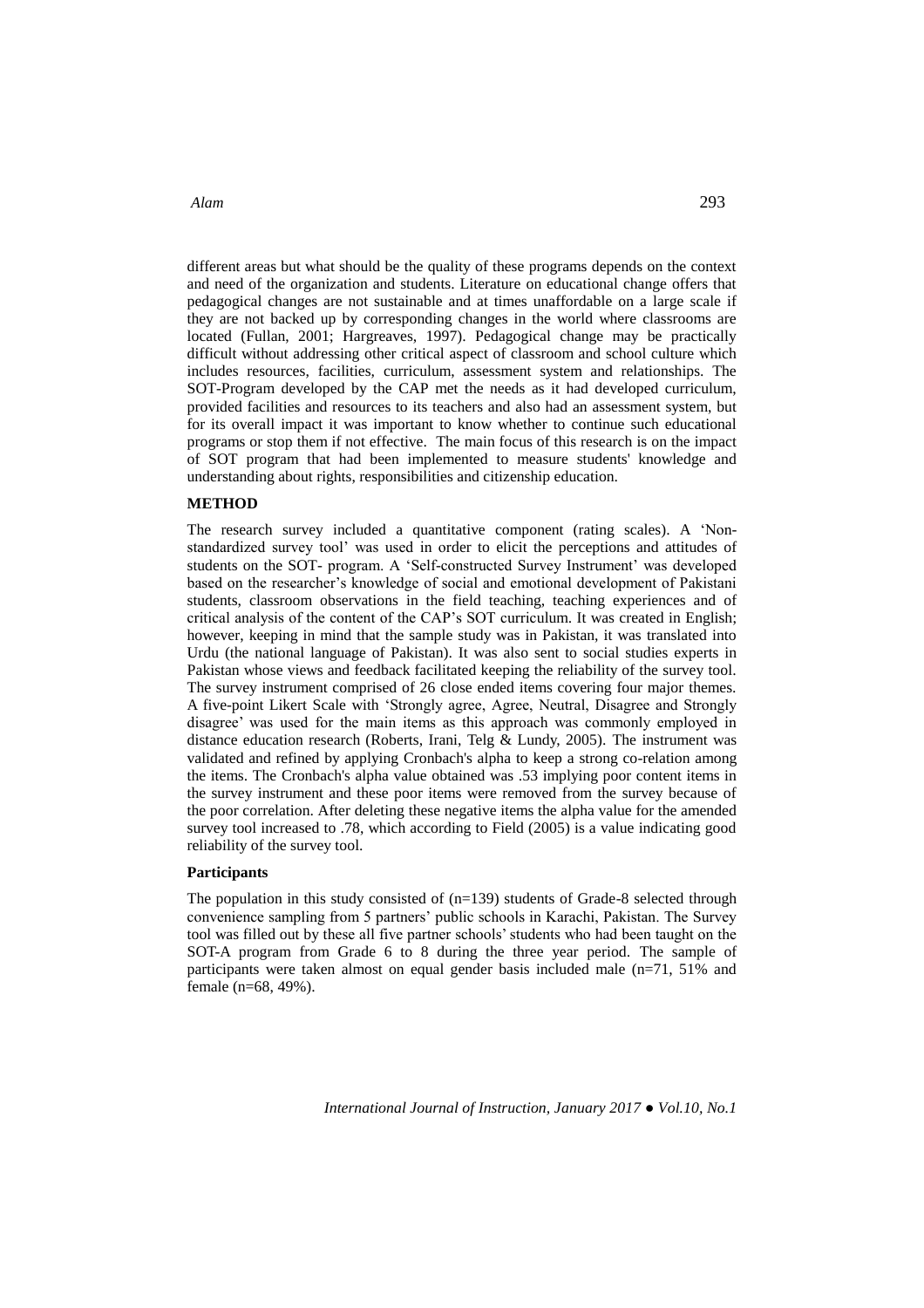different areas but what should be the quality of these programs depends on the context and need of the organization and students. Literature on educational change offers that pedagogical changes are not sustainable and at times unaffordable on a large scale if they are not backed up by corresponding changes in the world where classrooms are located (Fullan, 2001; Hargreaves, 1997). Pedagogical change may be practically difficult without addressing other critical aspect of classroom and school culture which includes resources, facilities, curriculum, assessment system and relationships. The SOT-Program developed by the CAP met the needs as it had developed curriculum, provided facilities and resources to its teachers and also had an assessment system, but for its overall impact it was important to know whether to continue such educational programs or stop them if not effective. The main focus of this research is on the impact of SOT program that had been implemented to measure students' knowledge and understanding about rights, responsibilities and citizenship education.

## **METHOD**

The research survey included a quantitative component (rating scales). A 'Nonstandardized survey tool' was used in order to elicit the perceptions and attitudes of students on the SOT- program. A 'Self-constructed Survey Instrument' was developed based on the researcher's knowledge of social and emotional development of Pakistani students, classroom observations in the field teaching, teaching experiences and of critical analysis of the content of the CAP's SOT curriculum. It was created in English; however, keeping in mind that the sample study was in Pakistan, it was translated into Urdu (the national language of Pakistan). It was also sent to social studies experts in Pakistan whose views and feedback facilitated keeping the reliability of the survey tool. The survey instrument comprised of 26 close ended items covering four major themes. A five-point Likert Scale with 'Strongly agree, Agree, Neutral, Disagree and Strongly disagree' was used for the main items as this approach was commonly employed in distance education research (Roberts, Irani, Telg & Lundy, 2005). The instrument was validated and refined by applying Cronbach's alpha to keep a strong co-relation among the items. The Cronbach's alpha value obtained was .53 implying poor content items in the survey instrument and these poor items were removed from the survey because of the poor correlation. After deleting these negative items the alpha value for the amended survey tool increased to .78, which according to Field (2005) is a value indicating good reliability of the survey tool.

# **Participants**

The population in this study consisted of  $(n=139)$  students of Grade-8 selected through convenience sampling from 5 partners' public schools in Karachi, Pakistan. The Survey tool was filled out by these all five partner schools' students who had been taught on the SOT-A program from Grade 6 to 8 during the three year period. The sample of participants were taken almost on equal gender basis included male (n=71, 51% and female (n=68, 49%).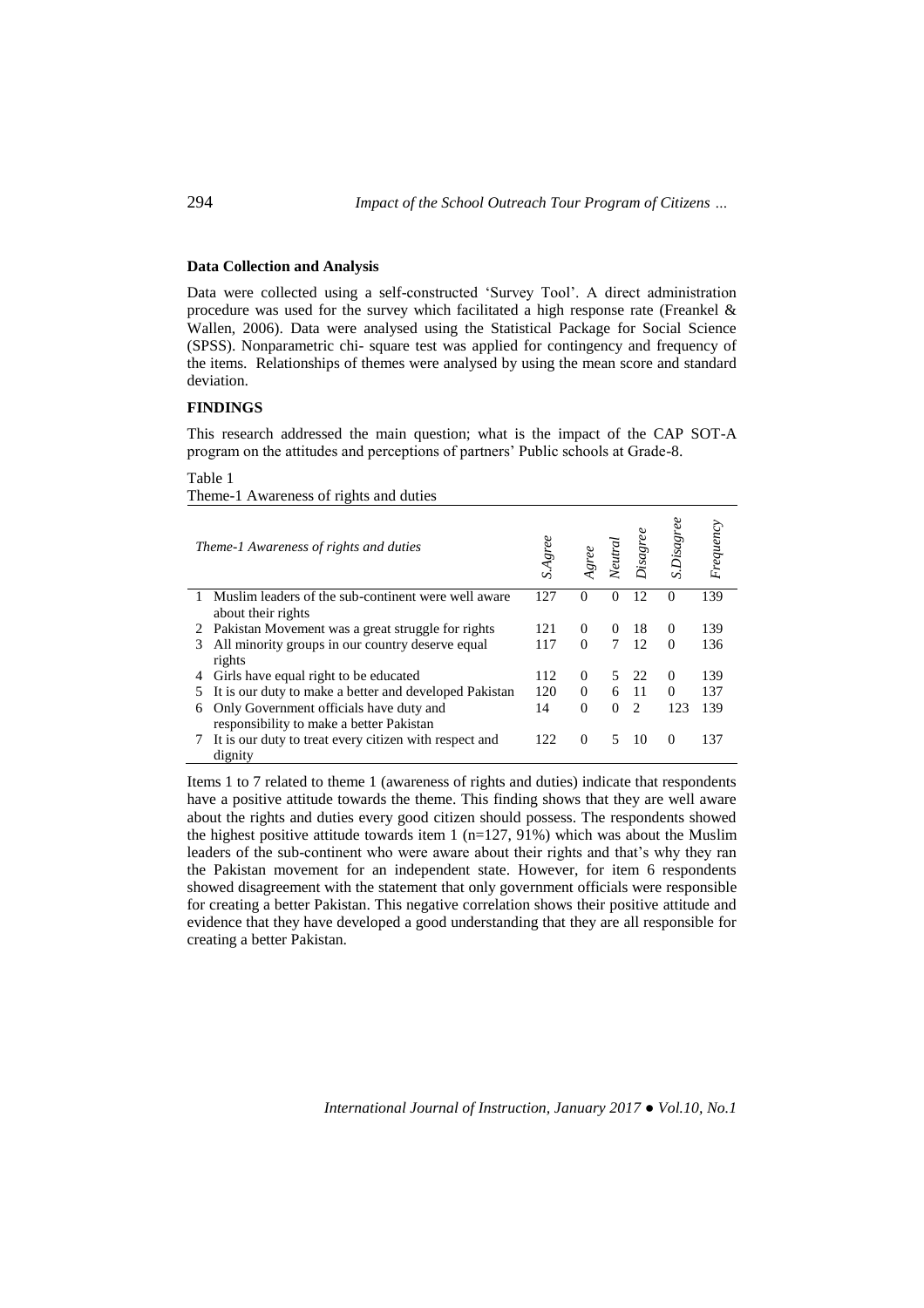## **Data Collection and Analysis**

Data were collected using a self-constructed 'Survey Tool'. A direct administration procedure was used for the survey which facilitated a high response rate (Freankel & Wallen, 2006). Data were analysed using the Statistical Package for Social Science (SPSS). Nonparametric chi- square test was applied for contingency and frequency of the items. Relationships of themes were analysed by using the mean score and standard deviation.

## **FINDINGS**

This research addressed the main question; what is the impact of the CAP SOT-A program on the attitudes and perceptions of partners' Public schools at Grade-8.

#### Table 1

Theme-1 Awareness of rights and duties

|    | Theme-1 Awareness of rights and duties                                              | S.Agree |          | Veutra   | Disagree                      | S.Disagree | Frequency |
|----|-------------------------------------------------------------------------------------|---------|----------|----------|-------------------------------|------------|-----------|
| 1  | Muslim leaders of the sub-continent were well aware<br>about their rights           | 127     | $\theta$ | 0        | 12                            | $\theta$   | 139       |
| 2  | Pakistan Movement was a great struggle for rights                                   | 121     | $\Omega$ | $\Omega$ | 18                            | 0          | 139       |
| 3  | All minority groups in our country deserve equal<br>rights                          | 117     | $\Omega$ | 7        | 12                            | $\Omega$   | 136       |
| 4  | Girls have equal right to be educated                                               | 112     | $\Omega$ | 5.       | 22                            | $\Omega$   | 139       |
| 5. | It is our duty to make a better and developed Pakistan                              | 120     | $\Omega$ | 6        | -11                           | $\Omega$   | 137       |
| 6  | Only Government officials have duty and<br>responsibility to make a better Pakistan | 14      | $\Omega$ | $\Omega$ | $\mathfrak{D}_{\mathfrak{p}}$ | 123        | 139       |
|    | It is our duty to treat every citizen with respect and<br>dignity                   | 122     | $\Omega$ | 5        | 10                            | 0          | 137       |

Items 1 to 7 related to theme 1 (awareness of rights and duties) indicate that respondents have a positive attitude towards the theme. This finding shows that they are well aware about the rights and duties every good citizen should possess. The respondents showed the highest positive attitude towards item 1 (n=127, 91%) which was about the Muslim leaders of the sub-continent who were aware about their rights and that's why they ran the Pakistan movement for an independent state. However, for item 6 respondents showed disagreement with the statement that only government officials were responsible for creating a better Pakistan. This negative correlation shows their positive attitude and evidence that they have developed a good understanding that they are all responsible for creating a better Pakistan.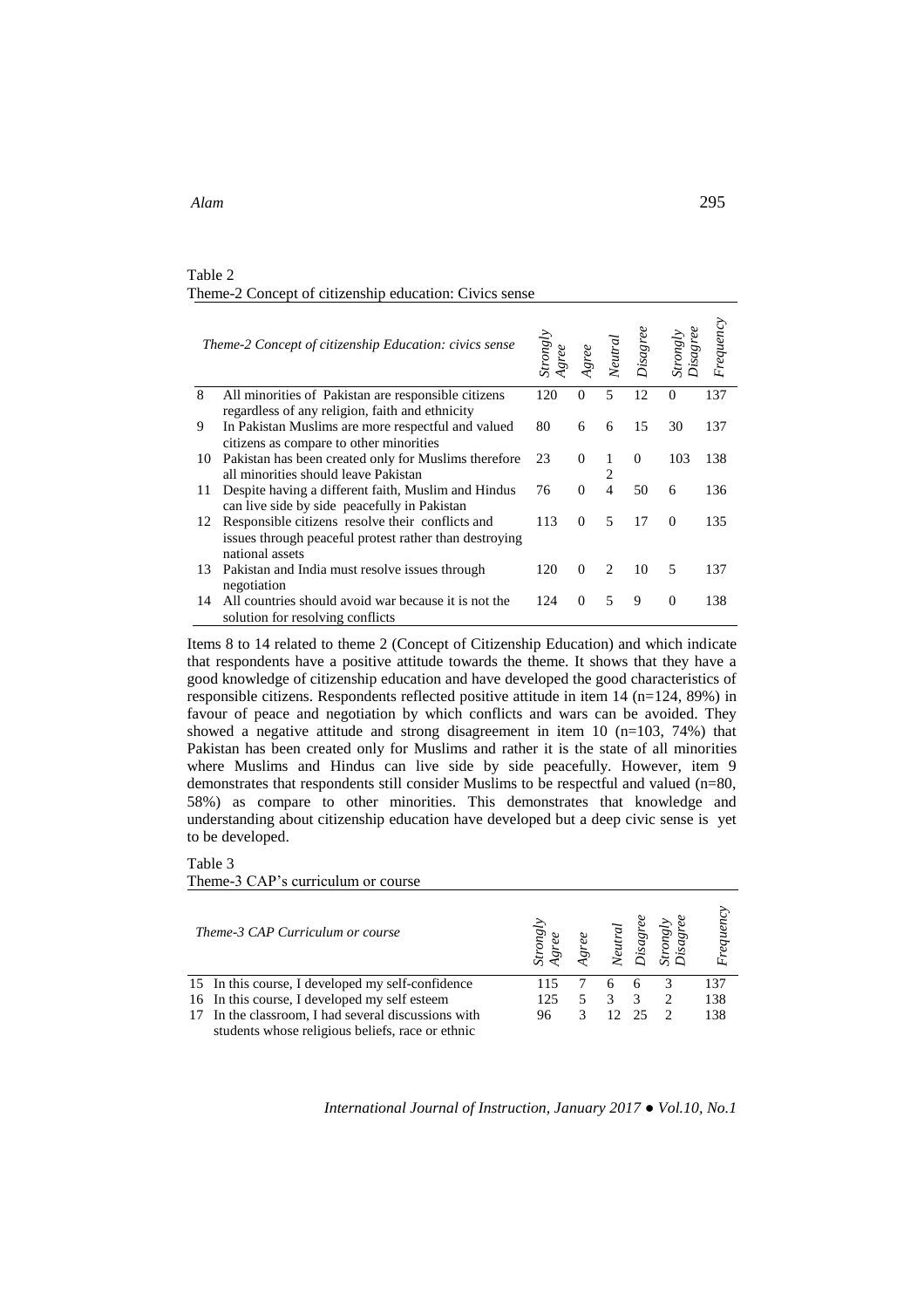## Table 2 Theme-2 Concept of citizenship education: Civics sense

|    | Theme-2 Concept of citizenship Education: civics sense                                                                        | Strong by |          | <b>Neutra</b>               | $_{\it Disagree}$ | sagree   | Frequency |
|----|-------------------------------------------------------------------------------------------------------------------------------|-----------|----------|-----------------------------|-------------------|----------|-----------|
| 8  | All minorities of Pakistan are responsible citizens<br>regardless of any religion, faith and ethnicity                        | 120       | $\Omega$ | 5                           | 12                | $\Omega$ | 137       |
| 9  | In Pakistan Muslims are more respectful and valued<br>citizens as compare to other minorities                                 | 80        | 6        | 6                           | 15                | 30       | 137       |
| 10 | Pakistan has been created only for Muslims therefore<br>all minorities should leave Pakistan                                  | 23        | $\Omega$ | 1                           | $\Omega$          | 103      | 138       |
| 11 | Despite having a different faith, Muslim and Hindus<br>can live side by side peacefully in Pakistan                           | 76        | $\Omega$ | 4                           | 50                | 6        | 136       |
| 12 | Responsible citizens resolve their conflicts and<br>issues through peaceful protest rather than destroying<br>national assets | 113       | $\Omega$ | 5                           | 17                | $\Omega$ | 135       |
| 13 | Pakistan and India must resolve issues through<br>negotiation                                                                 | 120       | $\Omega$ | $\mathcal{D}_{\mathcal{L}}$ | 10                | 5        | 137       |
| 14 | All countries should avoid war because it is not the<br>solution for resolving conflicts                                      | 124       | 0        | 5                           | 9                 | $\Omega$ | 138       |

Items 8 to 14 related to theme 2 (Concept of Citizenship Education) and which indicate that respondents have a positive attitude towards the theme. It shows that they have a good knowledge of citizenship education and have developed the good characteristics of responsible citizens. Respondents reflected positive attitude in item 14 (n=124, 89%) in favour of peace and negotiation by which conflicts and wars can be avoided. They showed a negative attitude and strong disagreement in item 10  $(n=103, 74%)$  that Pakistan has been created only for Muslims and rather it is the state of all minorities where Muslims and Hindus can live side by side peacefully. However, item 9 demonstrates that respondents still consider Muslims to be respectful and valued (n=80, 58%) as compare to other minorities. This demonstrates that knowledge and understanding about citizenship education have developed but a deep civic sense is yet to be developed.

| abie |  |
|------|--|
|------|--|

Theme-3 CAP's curriculum or course

| Theme-3 CAP Curriculum or course                    | Strongly | $\emph{green}$ | <b>Veutra</b>   |                         | Frequenc; |
|-----------------------------------------------------|----------|----------------|-----------------|-------------------------|-----------|
| 15 In this course, I developed my self-confidence   | 115      |                |                 | 6                       | 137       |
| 16 In this course, I developed my self esteem       | 125      |                | 3               | $\overline{\mathbf{3}}$ | 138       |
| 17 In the classroom, I had several discussions with | 96       | 3              | 12 <sub>2</sub> | 25                      | 138       |
| students whose religious beliefs, race or ethnic    |          |                |                 |                         |           |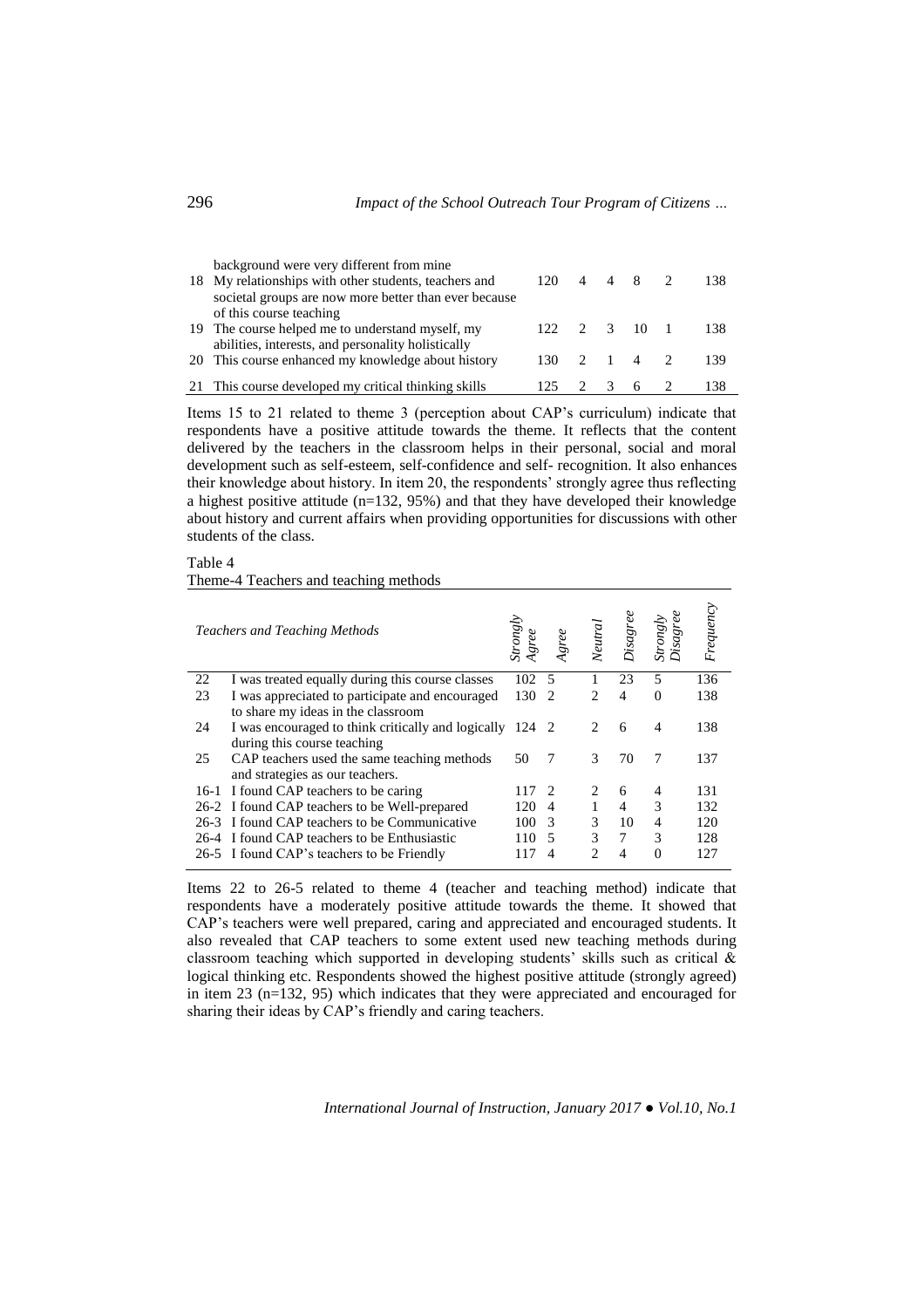| background were very different from mine<br>18 My relationships with other students, teachers and<br>societal groups are now more better than ever because | 120. |                | 4 4 8 2 | 138  |
|------------------------------------------------------------------------------------------------------------------------------------------------------------|------|----------------|---------|------|
| of this course teaching<br>19 The course helped me to understand myself, my<br>abilities, interests, and personality holistically                          | 122  | $\overline{2}$ | 3 10 1  | -138 |
| 20 This course enhanced my knowledge about history                                                                                                         | 130. |                | 2 1 4 2 | 139  |
| 21 This course developed my critical thinking skills                                                                                                       | 125  |                | 6       | 138  |

Items 15 to 21 related to theme 3 (perception about CAP's curriculum) indicate that respondents have a positive attitude towards the theme. It reflects that the content delivered by the teachers in the classroom helps in their personal, social and moral development such as self-esteem, self-confidence and self- recognition. It also enhances their knowledge about history. In item 20, the respondents' strongly agree thus reflecting a highest positive attitude  $(n=132, 95%)$  and that they have developed their knowledge about history and current affairs when providing opportunities for discussions with other students of the class.

Table 4

Theme-4 Teachers and teaching methods

|    | <b>Teachers and Teaching Methods</b>               | <i>Strongly</i> | gree           | Neutral                       | Ř<br>Disagi    | Strongly<br>Disagree | Frequency |
|----|----------------------------------------------------|-----------------|----------------|-------------------------------|----------------|----------------------|-----------|
| 22 | I was treated equally during this course classes   | 102             | 5              |                               | 23             | 5                    | 136       |
| 23 | I was appreciated to participate and encouraged    | 130             | $\mathcal{L}$  | $\mathcal{D}_{\mathcal{L}}$   | $\overline{4}$ | 0                    | 138       |
|    | to share my ideas in the classroom                 |                 |                |                               |                |                      |           |
| 24 | I was encouraged to think critically and logically | 124 2           |                | $\mathfrak{D}_{\mathfrak{p}}$ | 6              | 4                    | 138       |
|    | during this course teaching                        |                 |                |                               |                |                      |           |
| 25 | CAP teachers used the same teaching methods        | 50              | 7              | 3                             | 70             | 7                    | 137       |
|    | and strategies as our teachers.                    |                 |                |                               |                |                      |           |
|    | 16-1 I found CAP teachers to be caring             | 117             | 2              | 2                             | 6              | 4                    | 131       |
|    | 26-2 I found CAP teachers to be Well-prepared      | 120             | $\overline{4}$ |                               | $\overline{4}$ | 3                    | 132       |
|    | 26-3 I found CAP teachers to be Communicative      | 100             | $\mathcal{R}$  | 3                             | 10             | 4                    | 120       |
|    | 26-4 I found CAP teachers to be Enthusiastic       | 110             | 5              | 3                             | 7              | 3                    | 128       |
|    | 26-5 I found CAP's teachers to be Friendly         |                 | 4              | $\mathcal{D}$                 | 4              | $\Omega$             | 127       |

Items 22 to 26-5 related to theme 4 (teacher and teaching method) indicate that respondents have a moderately positive attitude towards the theme. It showed that CAP's teachers were well prepared, caring and appreciated and encouraged students. It also revealed that CAP teachers to some extent used new teaching methods during classroom teaching which supported in developing students' skills such as critical & logical thinking etc. Respondents showed the highest positive attitude (strongly agreed) in item 23 (n=132, 95) which indicates that they were appreciated and encouraged for sharing their ideas by CAP's friendly and caring teachers.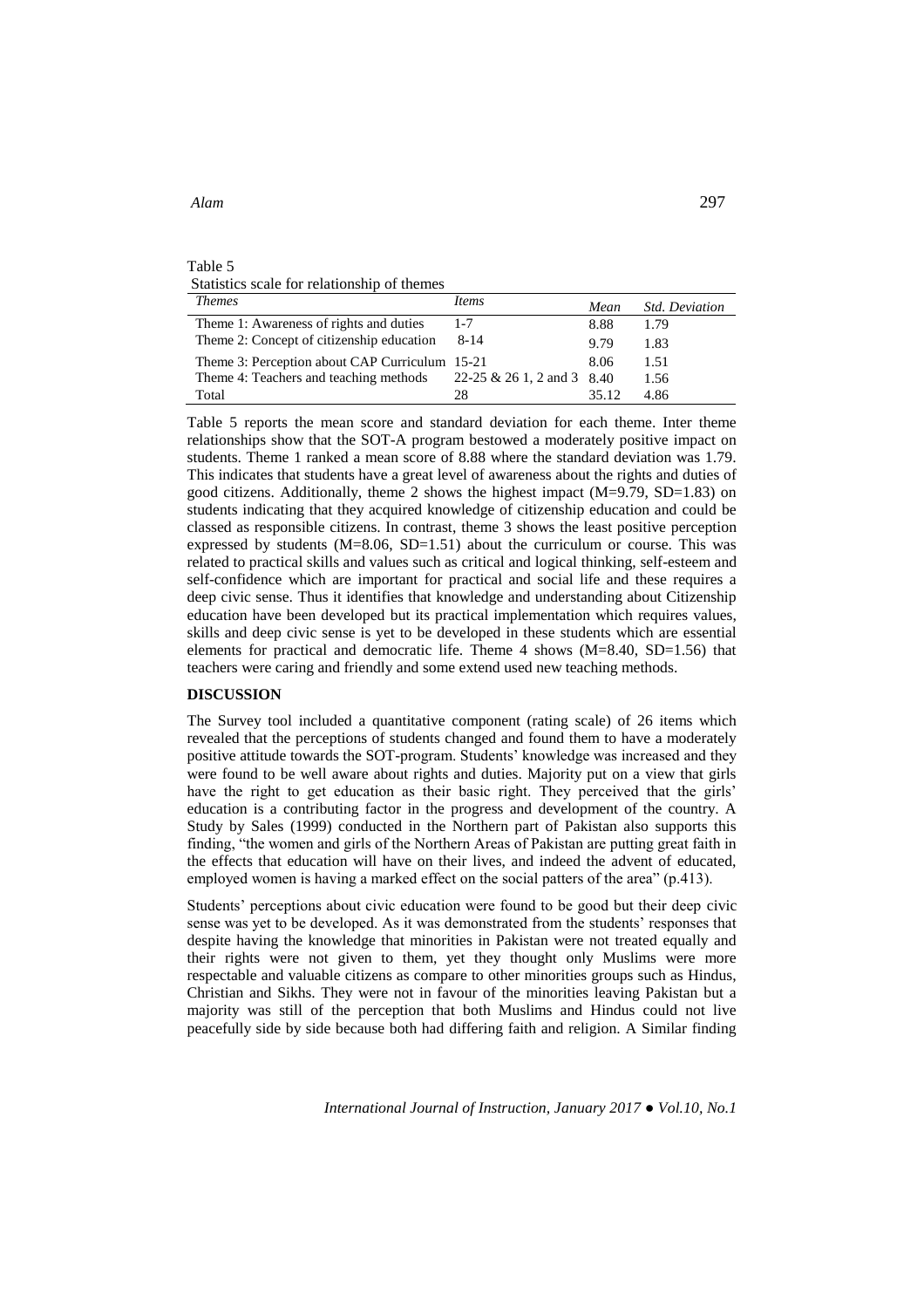## Table 5 Statistics scale for relationship of themes

| <i>Themes</i>                                  | Items                      | Mean  | <b>Std. Deviation</b> |
|------------------------------------------------|----------------------------|-------|-----------------------|
| Theme 1: Awareness of rights and duties        | $1 - 7$                    | 8.88  | 1.79                  |
| Theme 2: Concept of citizenship education      | $8 - 14$                   | 9.79  | 1.83                  |
| Theme 3: Perception about CAP Curriculum 15-21 |                            | 8.06  | 1.51                  |
| Theme 4: Teachers and teaching methods         | 22-25 & 26 1, 2 and 3 8.40 |       | 1.56                  |
| Total                                          | 28                         | 35.12 | 4.86                  |

Table 5 reports the mean score and standard deviation for each theme. Inter theme relationships show that the SOT-A program bestowed a moderately positive impact on students. Theme 1 ranked a mean score of 8.88 where the standard deviation was 1.79. This indicates that students have a great level of awareness about the rights and duties of good citizens. Additionally, theme 2 shows the highest impact  $(M=9.79, SD=1.83)$  on students indicating that they acquired knowledge of citizenship education and could be classed as responsible citizens. In contrast, theme 3 shows the least positive perception expressed by students  $(M=8.06, SD=1.51)$  about the curriculum or course. This was related to practical skills and values such as critical and logical thinking, self-esteem and self-confidence which are important for practical and social life and these requires a deep civic sense. Thus it identifies that knowledge and understanding about Citizenship education have been developed but its practical implementation which requires values, skills and deep civic sense is yet to be developed in these students which are essential elements for practical and democratic life. Theme 4 shows  $(M=8.40, SD=1.56)$  that teachers were caring and friendly and some extend used new teaching methods.

# **DISCUSSION**

The Survey tool included a quantitative component (rating scale) of 26 items which revealed that the perceptions of students changed and found them to have a moderately positive attitude towards the SOT-program. Students' knowledge was increased and they were found to be well aware about rights and duties. Majority put on a view that girls have the right to get education as their basic right. They perceived that the girls' education is a contributing factor in the progress and development of the country. A Study by Sales (1999) conducted in the Northern part of Pakistan also supports this finding, "the women and girls of the Northern Areas of Pakistan are putting great faith in the effects that education will have on their lives, and indeed the advent of educated, employed women is having a marked effect on the social patters of the area" (p.413).

Students' perceptions about civic education were found to be good but their deep civic sense was yet to be developed. As it was demonstrated from the students' responses that despite having the knowledge that minorities in Pakistan were not treated equally and their rights were not given to them, yet they thought only Muslims were more respectable and valuable citizens as compare to other minorities groups such as Hindus, Christian and Sikhs. They were not in favour of the minorities leaving Pakistan but a majority was still of the perception that both Muslims and Hindus could not live peacefully side by side because both had differing faith and religion. A Similar finding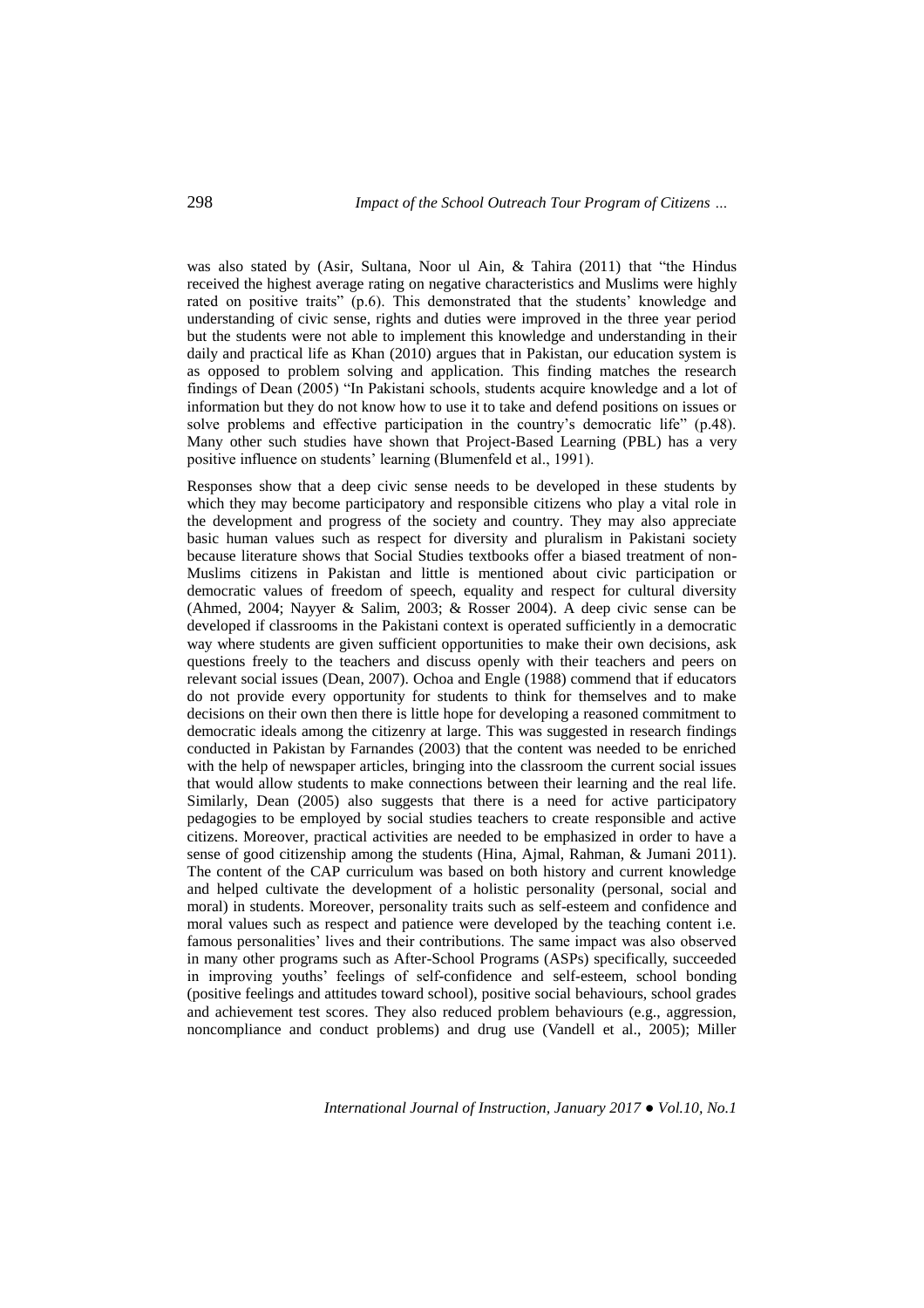was also stated by (Asir, Sultana, Noor ul Ain, & Tahira (2011) that "the Hindus received the highest average rating on negative characteristics and Muslims were highly rated on positive traits" (p.6). This demonstrated that the students' knowledge and understanding of civic sense, rights and duties were improved in the three year period but the students were not able to implement this knowledge and understanding in their daily and practical life as Khan (2010) argues that in Pakistan, our education system is as opposed to problem solving and application. This finding matches the research findings of Dean (2005) "In Pakistani schools, students acquire knowledge and a lot of information but they do not know how to use it to take and defend positions on issues or solve problems and effective participation in the country's democratic life" (p.48). Many other such studies have shown that Project-Based Learning (PBL) has a very positive influence on students' learning (Blumenfeld et al., 1991).

Responses show that a deep civic sense needs to be developed in these students by which they may become participatory and responsible citizens who play a vital role in the development and progress of the society and country. They may also appreciate basic human values such as respect for diversity and pluralism in Pakistani society because literature shows that Social Studies textbooks offer a biased treatment of non-Muslims citizens in Pakistan and little is mentioned about civic participation or democratic values of freedom of speech, equality and respect for cultural diversity (Ahmed, 2004; Nayyer & Salim, 2003; & Rosser 2004). A deep civic sense can be developed if classrooms in the Pakistani context is operated sufficiently in a democratic way where students are given sufficient opportunities to make their own decisions, ask questions freely to the teachers and discuss openly with their teachers and peers on relevant social issues (Dean, 2007). Ochoa and Engle (1988) commend that if educators do not provide every opportunity for students to think for themselves and to make decisions on their own then there is little hope for developing a reasoned commitment to democratic ideals among the citizenry at large. This was suggested in research findings conducted in Pakistan by Farnandes (2003) that the content was needed to be enriched with the help of newspaper articles, bringing into the classroom the current social issues that would allow students to make connections between their learning and the real life. Similarly, Dean (2005) also suggests that there is a need for active participatory pedagogies to be employed by social studies teachers to create responsible and active citizens. Moreover, practical activities are needed to be emphasized in order to have a sense of good citizenship among the students (Hina, Ajmal, Rahman, & Jumani 2011). The content of the CAP curriculum was based on both history and current knowledge and helped cultivate the development of a holistic personality (personal, social and moral) in students. Moreover, personality traits such as self-esteem and confidence and moral values such as respect and patience were developed by the teaching content i.e. famous personalities' lives and their contributions. The same impact was also observed in many other programs such as After-School Programs (ASPs) specifically, succeeded in improving youths' feelings of self-confidence and self-esteem, school bonding (positive feelings and attitudes toward school), positive social behaviours, school grades and achievement test scores. They also reduced problem behaviours (e.g., aggression, noncompliance and conduct problems) and drug use (Vandell et al., 2005); Miller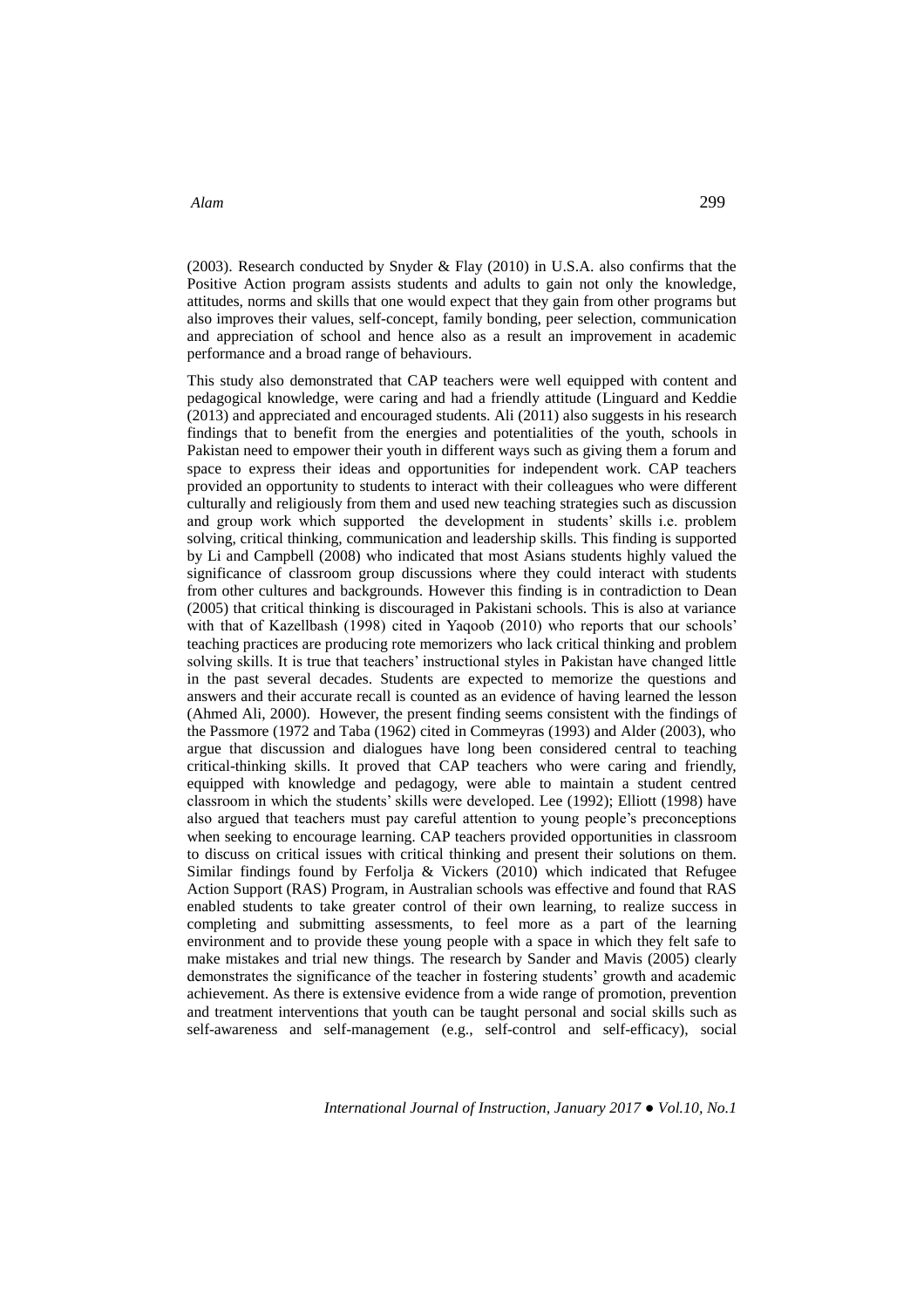(2003). Research conducted by Snyder & Flay (2010) in U.S.A. also confirms that the Positive Action program assists students and adults to gain not only the knowledge, attitudes, norms and skills that one would expect that they gain from other programs but also improves their values, self-concept, family bonding, peer selection, communication and appreciation of school and hence also as a result an improvement in academic performance and a broad range of behaviours.

This study also demonstrated that CAP teachers were well equipped with content and pedagogical knowledge, were caring and had a friendly attitude (Linguard and Keddie (2013) and appreciated and encouraged students. Ali (2011) also suggests in his research findings that to benefit from the energies and potentialities of the youth, schools in Pakistan need to empower their youth in different ways such as giving them a forum and space to express their ideas and opportunities for independent work. CAP teachers provided an opportunity to students to interact with their colleagues who were different culturally and religiously from them and used new teaching strategies such as discussion and group work which supported the development in students' skills i.e. problem solving, critical thinking, communication and leadership skills. This finding is supported by Li and Campbell (2008) who indicated that most Asians students highly valued the significance of classroom group discussions where they could interact with students from other cultures and backgrounds. However this finding is in contradiction to Dean (2005) that critical thinking is discouraged in Pakistani schools. This is also at variance with that of Kazellbash (1998) cited in Yaqoob (2010) who reports that our schools' teaching practices are producing rote memorizers who lack critical thinking and problem solving skills. It is true that teachers' instructional styles in Pakistan have changed little in the past several decades. Students are expected to memorize the questions and answers and their accurate recall is counted as an evidence of having learned the lesson (Ahmed Ali, 2000). However, the present finding seems consistent with the findings of the Passmore (1972 and Taba (1962) cited in Commeyras (1993) and Alder (2003), who argue that discussion and dialogues have long been considered central to teaching critical-thinking skills. It proved that CAP teachers who were caring and friendly, equipped with knowledge and pedagogy, were able to maintain a student centred classroom in which the students' skills were developed. Lee (1992); Elliott (1998) have also argued that teachers must pay careful attention to young people's preconceptions when seeking to encourage learning. CAP teachers provided opportunities in classroom to discuss on critical issues with critical thinking and present their solutions on them. Similar findings found by Ferfolja & Vickers (2010) which indicated that Refugee Action Support (RAS) Program, in Australian schools was effective and found that RAS enabled students to take greater control of their own learning, to realize success in completing and submitting assessments, to feel more as a part of the learning environment and to provide these young people with a space in which they felt safe to make mistakes and trial new things. The research by Sander and Mavis (2005) clearly demonstrates the significance of the teacher in fostering students' growth and academic achievement. As there is extensive evidence from a wide range of promotion, prevention and treatment interventions that youth can be taught personal and social skills such as self-awareness and self-management (e.g., self-control and self-efficacy), social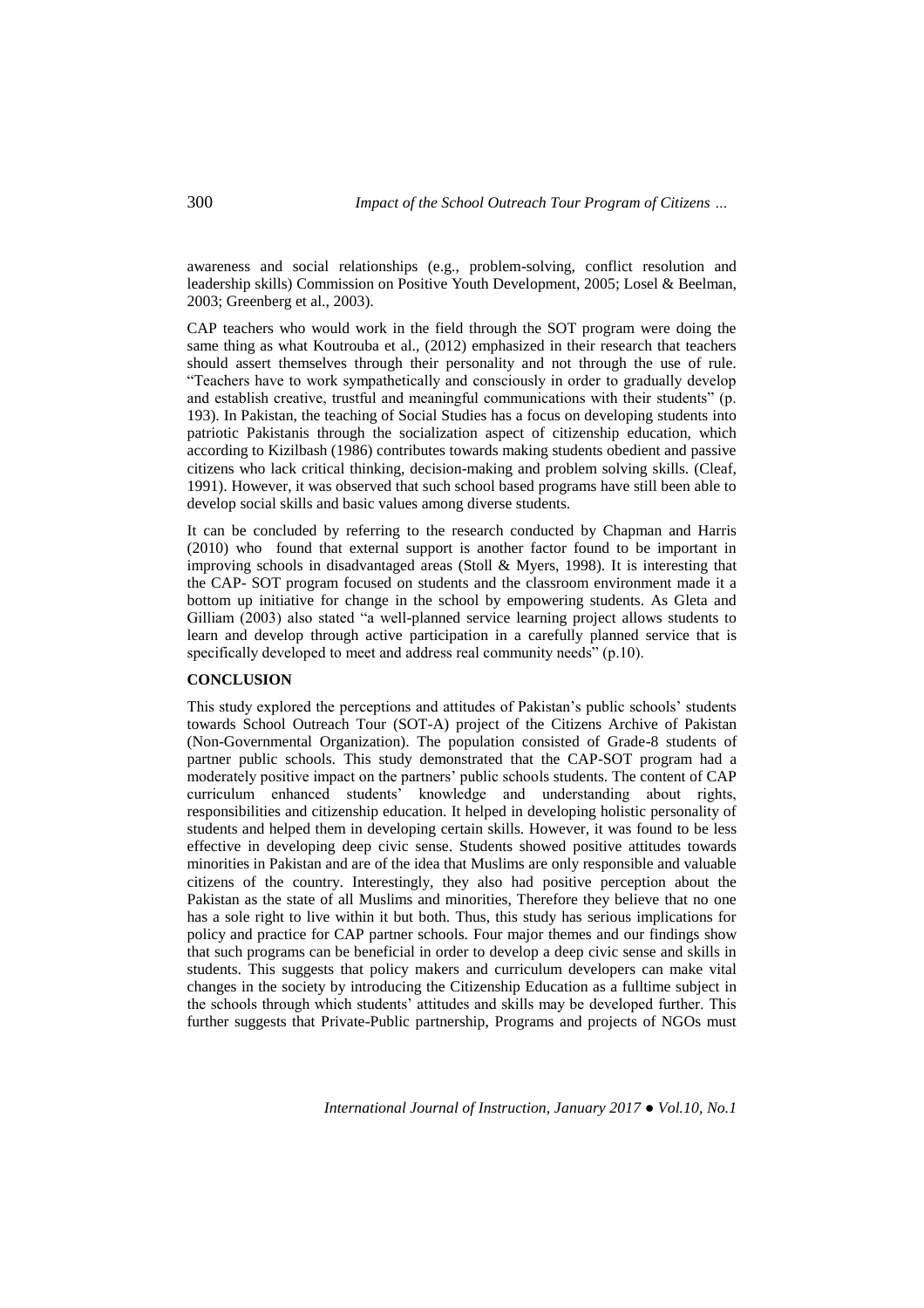awareness and social relationships (e.g., problem-solving, conflict resolution and leadership skills) Commission on Positive Youth Development, 2005; Losel & Beelman, 2003; Greenberg et al., 2003).

CAP teachers who would work in the field through the SOT program were doing the same thing as what Koutrouba et al., (2012) emphasized in their research that teachers should assert themselves through their personality and not through the use of rule. "Teachers have to work sympathetically and consciously in order to gradually develop and establish creative, trustful and meaningful communications with their students" (p. 193). In Pakistan, the teaching of Social Studies has a focus on developing students into patriotic Pakistanis through the socialization aspect of citizenship education, which according to Kizilbash (1986) contributes towards making students obedient and passive citizens who lack critical thinking, decision-making and problem solving skills. (Cleaf, 1991). However, it was observed that such school based programs have still been able to develop social skills and basic values among diverse students.

It can be concluded by referring to the research conducted by Chapman and Harris (2010) who found that external support is another factor found to be important in improving schools in disadvantaged areas (Stoll & Myers, 1998). It is interesting that the CAP- SOT program focused on students and the classroom environment made it a bottom up initiative for change in the school by empowering students. As Gleta and Gilliam (2003) also stated "a well-planned service learning project allows students to learn and develop through active participation in a carefully planned service that is specifically developed to meet and address real community needs" (p.10).

# **CONCLUSION**

This study explored the perceptions and attitudes of Pakistan's public schools' students towards School Outreach Tour (SOT-A) project of the Citizens Archive of Pakistan (Non-Governmental Organization). The population consisted of Grade-8 students of partner public schools. This study demonstrated that the CAP-SOT program had a moderately positive impact on the partners' public schools students. The content of CAP curriculum enhanced students' knowledge and understanding about rights, responsibilities and citizenship education. It helped in developing holistic personality of students and helped them in developing certain skills. However, it was found to be less effective in developing deep civic sense. Students showed positive attitudes towards minorities in Pakistan and are of the idea that Muslims are only responsible and valuable citizens of the country. Interestingly, they also had positive perception about the Pakistan as the state of all Muslims and minorities, Therefore they believe that no one has a sole right to live within it but both. Thus, this study has serious implications for policy and practice for CAP partner schools. Four major themes and our findings show that such programs can be beneficial in order to develop a deep civic sense and skills in students. This suggests that policy makers and curriculum developers can make vital changes in the society by introducing the Citizenship Education as a fulltime subject in the schools through which students' attitudes and skills may be developed further. This further suggests that Private-Public partnership, Programs and projects of NGOs must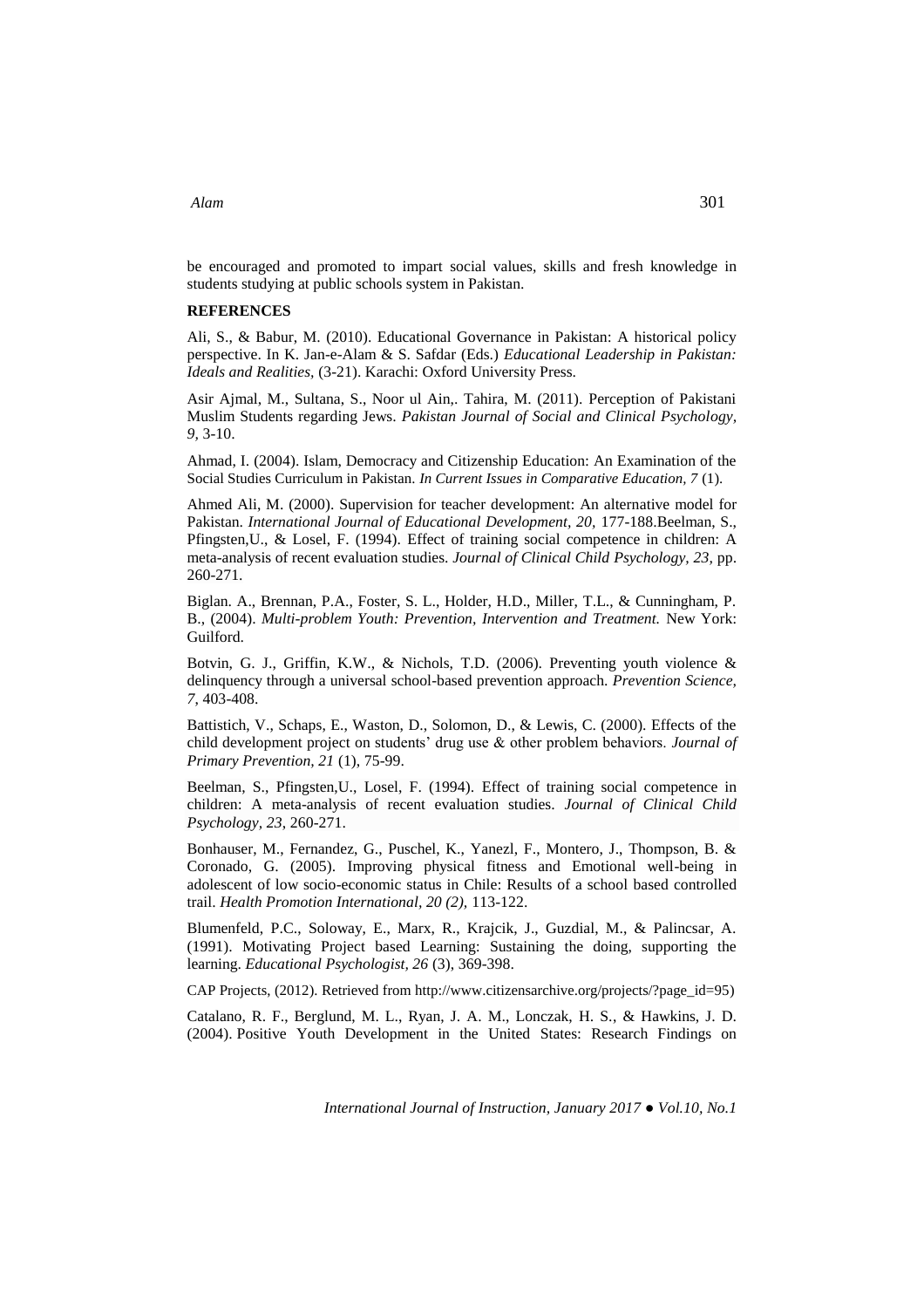# be encouraged and promoted to impart social values, skills and fresh knowledge in students studying at public schools system in Pakistan.

## **REFERENCES**

Ali, S., & Babur, M. (2010). Educational Governance in Pakistan: A historical policy perspective. In K. Jan-e-Alam & S. Safdar (Eds.) *Educational Leadership in Pakistan: Ideals and Realities,* (3-21). Karachi: Oxford University Press.

Asir Ajmal, M., Sultana, S., Noor ul Ain,. Tahira, M. (2011). Perception of Pakistani Muslim Students regarding Jews. *Pakistan Journal of Social and Clinical Psychology, 9,* 3-10.

Ahmad, I. (2004). Islam, Democracy and Citizenship Education: An Examination of the Social Studies Curriculum in Pakistan. *In Current Issues in Comparative Education, 7* (1).

Ahmed Ali, M. (2000). Supervision for teacher development: An alternative model for Pakistan. *International Journal of Educational Development, 20,* 177-188.Beelman, S., Pfingsten,U., & Losel, F. (1994). Effect of training social competence in children: A meta-analysis of recent evaluation studies. *Journal of Clinical Child Psychology, 23,* pp. 260-271.

Biglan. A., Brennan, P.A., Foster, S. L., Holder, H.D., Miller, T.L., & Cunningham, P. B., (2004). *Multi-problem Youth: Prevention, Intervention and Treatment.* New York: Guilford.

Botvin, G. J., Griffin, K.W., & Nichols, T.D. (2006). Preventing youth violence & delinquency through a universal school-based prevention approach. *Prevention Science, 7*, 403-408.

Battistich, V., Schaps, E., Waston, D., Solomon, D., & Lewis, C. (2000). Effects of the child development project on students' drug use & other problem behaviors. *Journal of Primary Prevention, 21* (1), 75-99.

Beelman, S., Pfingsten,U., Losel, F. (1994). Effect of training social competence in children: A meta-analysis of recent evaluation studies. *Journal of Clinical Child Psychology, 23*, 260-271.

Bonhauser, M., Fernandez, G., Puschel, K., Yanezl, F., Montero, J., Thompson, B. & Coronado, G. (2005). Improving physical fitness and Emotional well-being in adolescent of low socio-economic status in Chile: Results of a school based controlled trail. *Health Promotion International, 20 (2),* 113-122.

Blumenfeld, P.C., Soloway, E., Marx, R., Krajcik, J., Guzdial, M., & Palincsar, A. (1991). Motivating Project based Learning: Sustaining the doing, supporting the learning. *Educational Psychologist, 26* (3), 369-398.

CAP Projects, (2012). Retrieved from [http://www.citizensarchive.org/projects/?page\\_id=95\)](http://www.citizensarchive.org/projects/?page_id=95)

Catalano, R. F., Berglund, M. L., Ryan, J. A. M., Lonczak, H. S., & Hawkins, J. D. (2004). Positive Youth Development in the United States: Research Findings on

*International Journal of Instruction, January 2017 ● Vol.10, No.1*

# *Alam* 301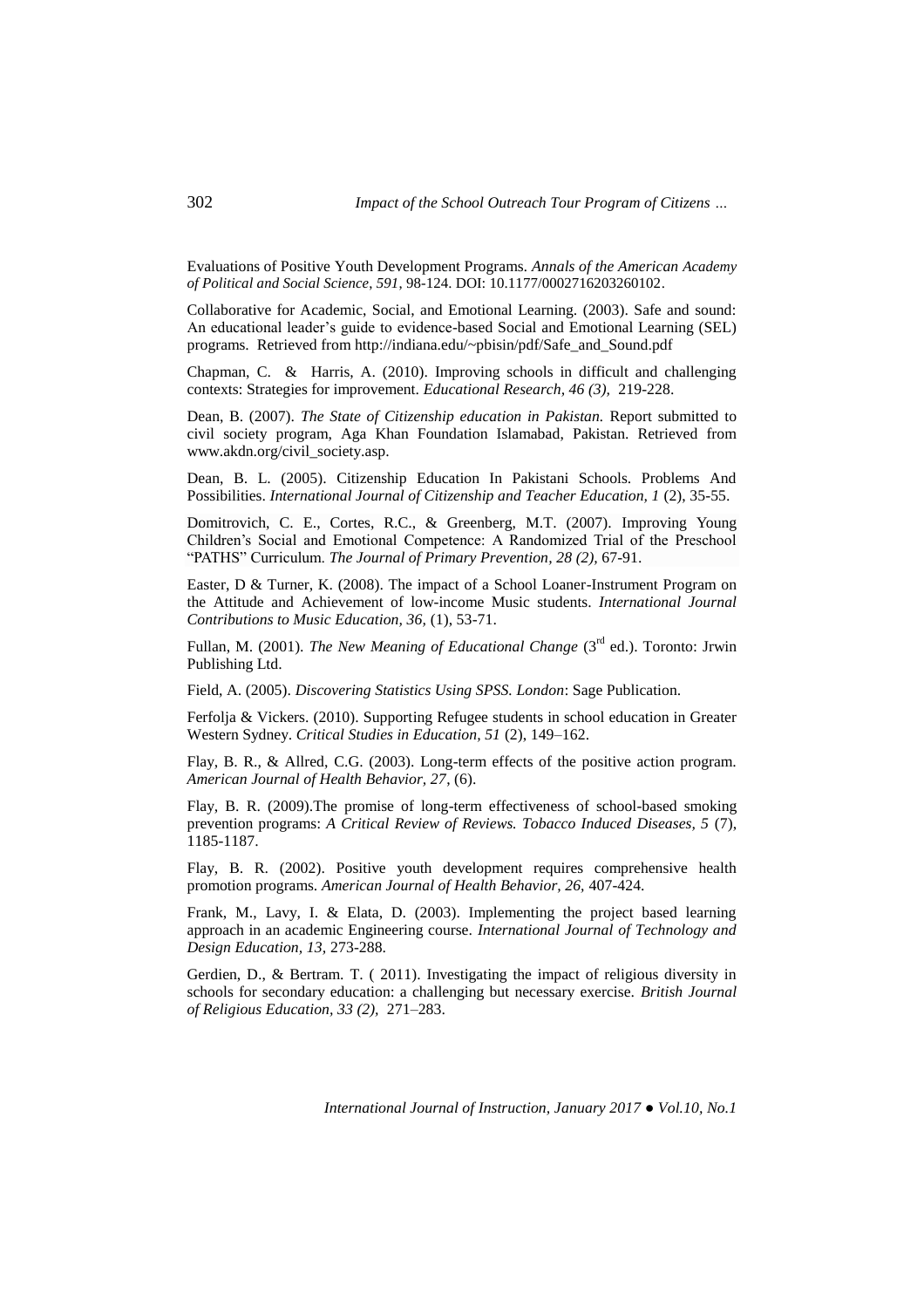Evaluations of Positive Youth Development Programs*. Annals of the American Academy of Political and Social Science*, *591*, 98-124. DOI: [10.1177/0002716203260102.](http://dx.doi.org/10.1177/0002716203260102)

Collaborative for Academic, Social, and Emotional Learning. (2003). Safe and sound: An educational leader's guide to evidence-based Social and Emotional Learning (SEL) programs. Retrieved from http://indiana.edu/~pbisin/pdf/Safe\_and\_Sound.pdf

Chapman, C. & Harris, A. (2010). Improving schools in difficult and challenging contexts: Strategies for improvement. *Educational Research, 46 (3),* 219-228.

Dean, B. (2007). *The State of Citizenship education in Pakistan.* Report submitted to civil society program, Aga Khan Foundation Islamabad, Pakistan. Retrieved from www.akdn.org/civil\_society.asp.

Dean, B. L. (2005). Citizenship Education In Pakistani Schools. Problems And Possibilities. *International Journal of Citizenship and Teacher Education, 1* (2), 35-55.

Domitrovich, C. E., Cortes, R.C., & Greenberg, M.T. (2007). Improving Young Children's Social and Emotional Competence: A Randomized Trial of the Preschool "PATHS" Curriculum. *[The Journal of Primary Prevention,](http://link.springer.com/journal/10935) 28 (2),* 67-91.

Easter, D & Turner, K. (2008). The impact of a School Loaner-Instrument Program on the Attitude and Achievement of low-income Music students. *International Journal Contributions to Music Education, 36,* (1), 53-71.

Fullan, M. (2001). *The New Meaning of Educational Change* (3<sup>rd</sup> ed.). Toronto: Jrwin Publishing Ltd.

Field, A. (2005). *Discovering Statistics Using SPSS. London*: Sage Publication.

Ferfolja & Vickers. (2010). Supporting Refugee students in school education in Greater Western Sydney. *Critical Studies in Education, 51* (2), 149–162.

Flay, B. R., & Allred, C.G. (2003). Long-term effects of the positive action program. *American Journal of Health Behavior, 27*, (6).

Flay, B. R. (2009).The promise of long-term effectiveness of school-based smoking prevention programs: *A Critical Review of Reviews. Tobacco Induced Diseases, 5* (7), 1185-1187.

Flay, B. R. (2002). Positive youth development requires comprehensive health promotion programs. *American Journal of Health Behavior, 26,* 407-424.

Frank, M., Lavy, I. & Elata, D. (2003). Implementing the project based learning approach in an academic Engineering course. *International Journal of Technology and Design Education, 13,* 273-288.

Gerdien, D., & Bertram. T. ( 2011). Investigating the impact of religious diversity in schools for secondary education: a challenging but necessary exercise. *British Journal of Religious Education, 33 (2),* 271–283.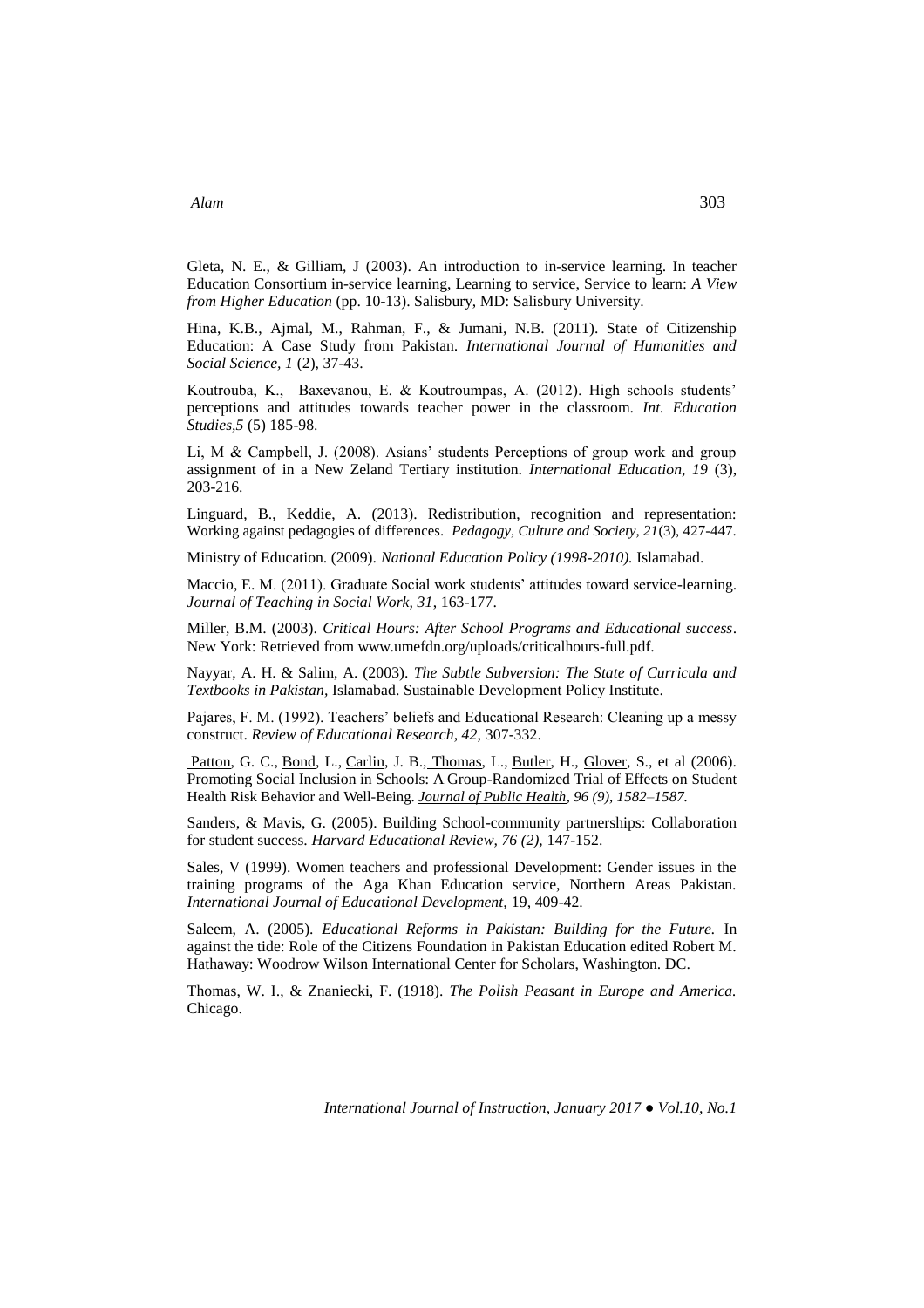Gleta, N. E., & Gilliam, J (2003). An introduction to in-service learning. In teacher Education Consortium in-service learning, Learning to service, Service to learn: *A View from Higher Education* (pp. 10-13). Salisbury, MD: Salisbury University.

Hina, K.B., Ajmal, M., Rahman, F., & Jumani, N.B. (2011). State of Citizenship Education: A Case Study from Pakistan*. International Journal of Humanities and Social Science, 1* (2), 37-43.

Koutrouba, K., Baxevanou, E. & Koutroumpas, A. (2012). High schools students' perceptions and attitudes towards teacher power in the classroom. *Int. Education Studies,5* (5) 185-98.

Li, M & Campbell, J. (2008). Asians' students Perceptions of group work and group assignment of in a New Zeland Tertiary institution. *International Education, 19* (3), 203-216.

Linguard, B., Keddie, A. (2013). Redistribution, recognition and representation: Working against pedagogies of differences. *Pedagogy, Culture and Society, 21*(3), 427-447.

Ministry of Education. (2009). *National Education Policy (1998-2010).* Islamabad.

Maccio, E. M. (2011). Graduate Social work students' attitudes toward service-learning. *Journal of Teaching in Social Work, 31*, 163-177.

Miller, B.M. (2003). *Critical Hours: After School Programs and Educational success*. New York: Retrieved from [www.umefdn.org/uploads/criticalhours-full.pdf.](http://www.umefdn.org/uploads/criticalhours-full.pdf)

Nayyar, A. H. & Salim, A. (2003). *The Subtle Subversion: The State of Curricula and Textbooks in Pakistan,* Islamabad. Sustainable Development Policy Institute.

Pajares, F. M. (1992). Teachers' beliefs and Educational Research: Cleaning up a messy construct. *Review of Educational Research, 42,* 307-332.

[Patton,](https://www.ncbi.nlm.nih.gov/pubmed/?term=Patton%20GC%5BAuthor%5D&cauthor=true&cauthor_uid=16873760) G. C., [Bond,](https://www.ncbi.nlm.nih.gov/pubmed/?term=Bond%20L%5BAuthor%5D&cauthor=true&cauthor_uid=16873760) L., [Carlin,](https://www.ncbi.nlm.nih.gov/pubmed/?term=Carlin%20JB%5BAuthor%5D&cauthor=true&cauthor_uid=16873760) J. B., [Thomas,](https://www.ncbi.nlm.nih.gov/pubmed/?term=Thomas%20L%5BAuthor%5D&cauthor=true&cauthor_uid=16873760) L., [Butler,](https://www.ncbi.nlm.nih.gov/pubmed/?term=Butler%20H%5BAuthor%5D&cauthor=true&cauthor_uid=16873760) H., [Glover,](https://www.ncbi.nlm.nih.gov/pubmed/?term=Glover%20S%5BAuthor%5D&cauthor=true&cauthor_uid=16873760) S., et al (2006). Promoting Social Inclusion in Schools: A Group-Randomized Trial of Effects on Student Health Risk Behavior and Well-Being. *[Journal of Public Health,](https://www.ncbi.nlm.nih.gov/pmc/articles/PMC1551970/) 96 (9), 1582–1587.*

Sanders, & Mavis, G. (2005). Building School-community partnerships: Collaboration for student success. *Harvard Educational Review, 76 (2),* 147-152.

Sales, V (1999). Women teachers and professional Development: Gender issues in the training programs of the Aga Khan Education service, Northern Areas Pakistan. *International Journal of Educational Development,* 19, 409-42.

Saleem, A. (2005). *Educational Reforms in Pakistan: Building for the Future.* In against the tide: Role of the Citizens Foundation in Pakistan Education edited Robert M. Hathaway: Woodrow Wilson International Center for Scholars, Washington. DC.

Thomas, W. I., & Znaniecki, F. (1918). *The Polish Peasant in Europe and America.* Chicago.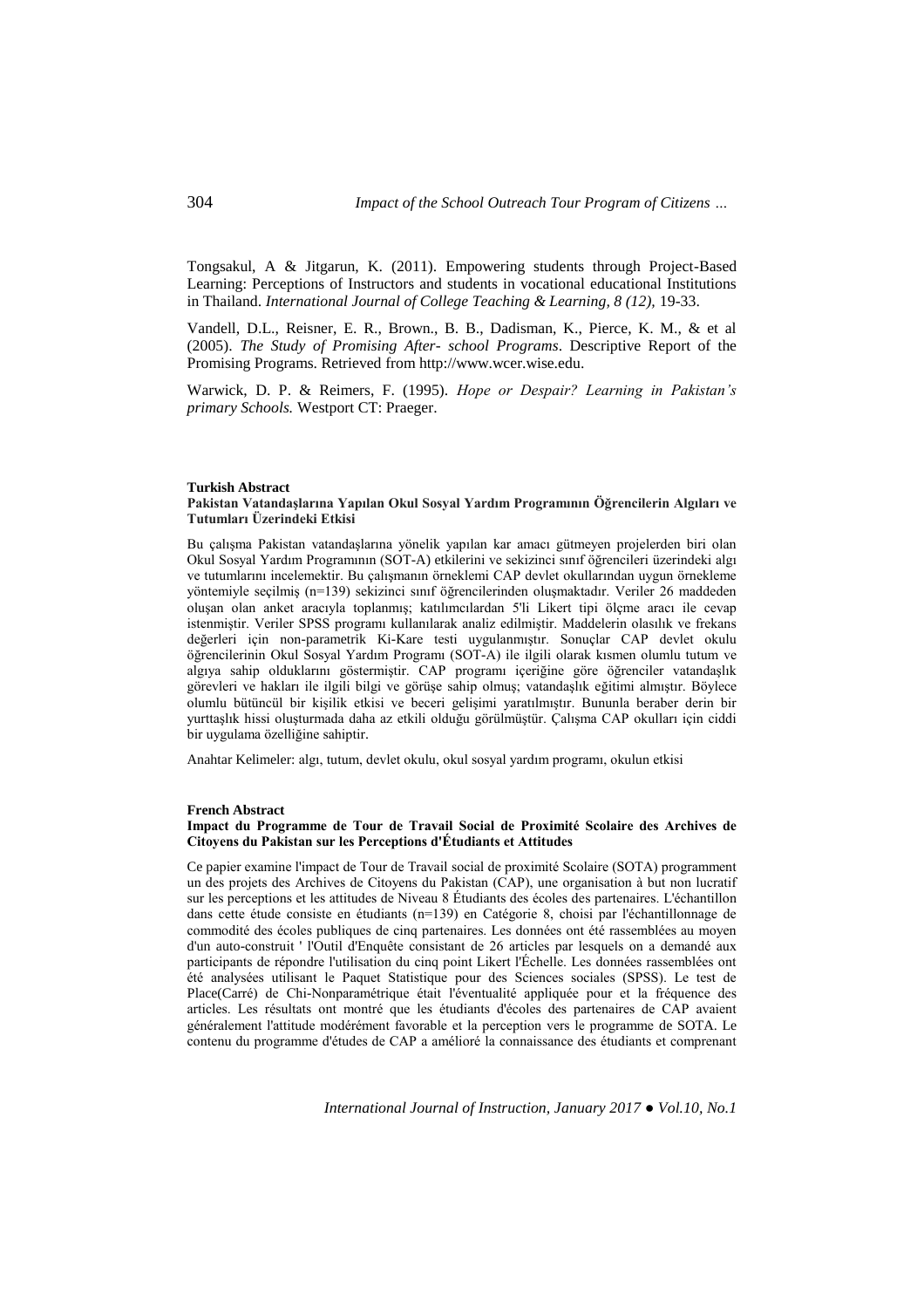Tongsakul, A & Jitgarun, K. (2011). Empowering students through Project-Based Learning: Perceptions of Instructors and students in vocational educational Institutions in Thailand. *International Journal of College Teaching & Learning, 8 (12),* 19-33.

Vandell, D.L., Reisner, E. R., Brown., B. B., Dadisman, K., Pierce, K. M., & et al (2005). *The Study of Promising After- school Programs*. Descriptive Report of the Promising Programs. Retrieved from [http://www.wcer.wise.edu.](http://www.wcer.wise.edu/)

Warwick, D. P. & Reimers, F. (1995). *Hope or Despair? Learning in Pakistan's primary Schools.* Westport CT: Praeger.

#### **Turkish Abstract**

## **Pakistan Vatandaşlarına Yapılan Okul Sosyal Yardım Programının Öğrencilerin Algıları ve Tutumları Üzerindeki Etkisi**

Bu çalışma Pakistan vatandaşlarına yönelik yapılan kar amacı gütmeyen projelerden biri olan Okul Sosyal Yardım Programının (SOT-A) etkilerini ve sekizinci sınıf öğrencileri üzerindeki algı ve tutumlarını incelemektir. Bu çalışmanın örneklemi CAP devlet okullarından uygun örnekleme yöntemiyle seçilmiş (n=139) sekizinci sınıf öğrencilerinden oluşmaktadır. Veriler 26 maddeden oluşan olan anket aracıyla toplanmış; katılımcılardan 5'li Likert tipi ölçme aracı ile cevap istenmiştir. Veriler SPSS programı kullanılarak analiz edilmiştir. Maddelerin olasılık ve frekans değerleri için non-parametrik Ki-Kare testi uygulanmıştır. Sonuçlar CAP devlet okulu öğrencilerinin Okul Sosyal Yardım Programı (SOT-A) ile ilgili olarak kısmen olumlu tutum ve algıya sahip olduklarını göstermiştir. CAP programı içeriğine göre öğrenciler vatandaşlık görevleri ve hakları ile ilgili bilgi ve görüşe sahip olmuş; vatandaşlık eğitimi almıştır. Böylece olumlu bütüncül bir kişilik etkisi ve beceri gelişimi yaratılmıştır. Bununla beraber derin bir yurttaşlık hissi oluşturmada daha az etkili olduğu görülmüştür. Çalışma CAP okulları için ciddi bir uygulama özelliğine sahiptir.

Anahtar Kelimeler: algı, tutum, devlet okulu, okul sosyal yardım programı, okulun etkisi

#### **French Abstract**

## **Impact du Programme de Tour de Travail Social de Proximité Scolaire des Archives de Citoyens du Pakistan sur les Perceptions d'Étudiants et Attitudes**

Ce papier examine l'impact de Tour de Travail social de proximité Scolaire (SOTA) programment un des projets des Archives de Citoyens du Pakistan (CAP), une organisation à but non lucratif sur les perceptions et les attitudes de Niveau 8 Étudiants des écoles des partenaires. L'échantillon dans cette étude consiste en étudiants (n=139) en Catégorie 8, choisi par l'échantillonnage de commodité des écoles publiques de cinq partenaires. Les données ont été rassemblées au moyen d'un auto-construit ' l'Outil d'Enquête consistant de 26 articles par lesquels on a demandé aux participants de répondre l'utilisation du cinq point Likert l'Échelle. Les données rassemblées ont été analysées utilisant le Paquet Statistique pour des Sciences sociales (SPSS). Le test de Place(Carré) de Chi-Nonparamétrique était l'éventualité appliquée pour et la fréquence des articles. Les résultats ont montré que les étudiants d'écoles des partenaires de CAP avaient généralement l'attitude modérément favorable et la perception vers le programme de SOTA. Le contenu du programme d'études de CAP a amélioré la connaissance des étudiants et comprenant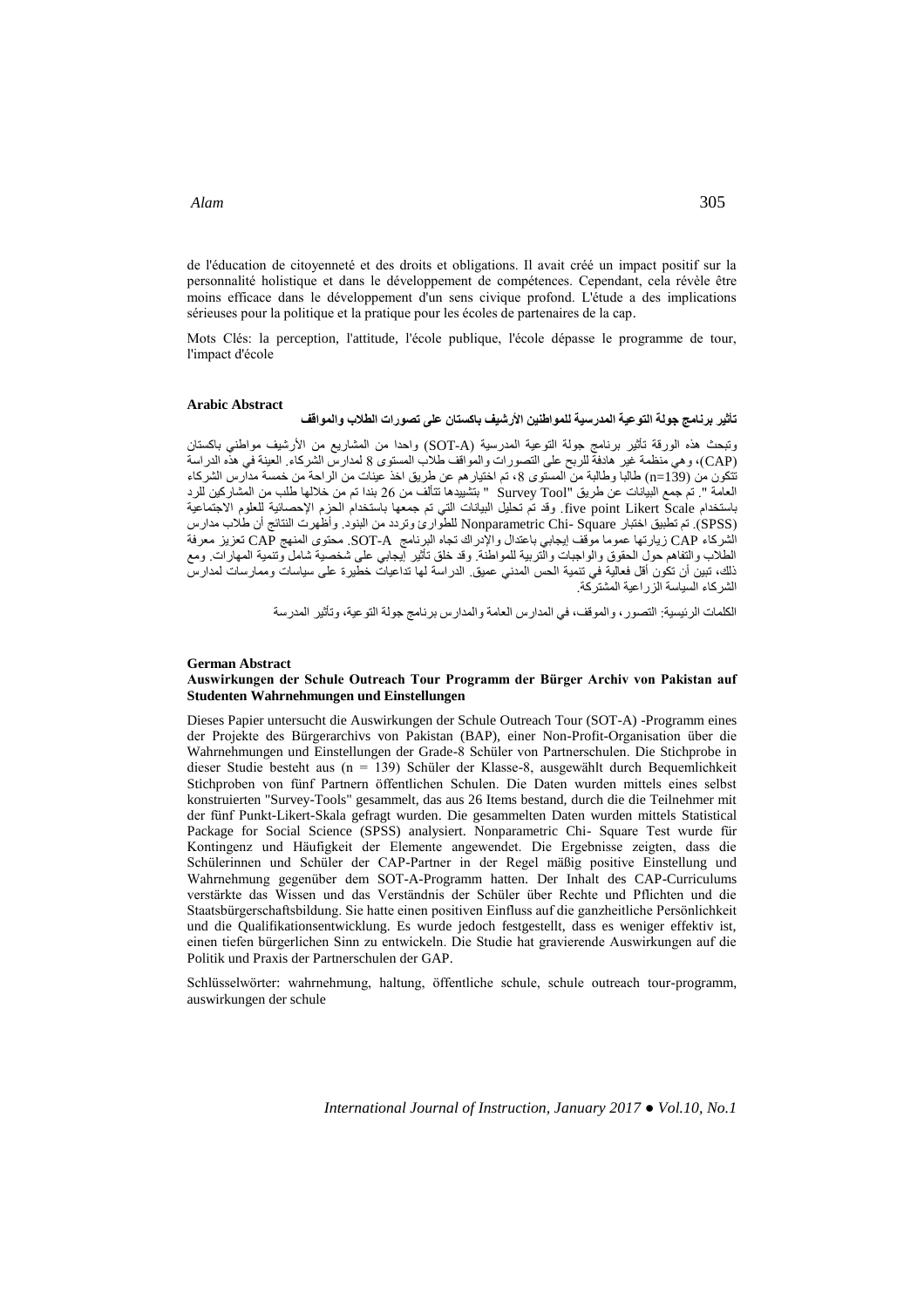de l'éducation de citoyenneté et des droits et obligations. Il avait créé un impact positif sur la personnalité holistique et dans le développement de compétences. Cependant, cela révèle être moins efficace dans le développement d'un sens civique profond. L'étude a des implications sérieuses pour la politique et la pratique pour les écoles de partenaires de la cap.

Mots Clés: la perception, l'attitude, l'école publique, l'école dépasse le programme de tour, l'impact d'école

#### **Arabic Abstract**

# **تأثير برنامج جولة التوعية المدرسية للمواطنين األرشيف باكستان على تصورات الطالب والمواقف**

وتبحث هذه الورقة تأثير برنامج جولة التوعية المدرسية (SOT-A) واحدا من المشاريع من الأرشيف مواطني باكستان )CAP)، وهي منظمة غير هادفة للربح على التصورات والمواقف طالب المستوى 8 لمدارس الشركاء. العينة في هذه الدراسة تتكون من )139=n )طالبا وطالبة من المستوى ،8 تم اختيارهم عن طريق اخذ عينات من الراحة من خمسة مدارس الشركاء العامة ". تم جمع البيانات عن طريق "Tool Survey " بتشييدها تتألف من 62 بندا تم من خاللها طلب من المشاركين للرد باستخدام Scale Likert point five. وقد تم تحليل البيانات التي تم جمعها باستخدام الحزم اإلحصائية للعلوم االجتماعية )SPSS). تم تطبيق اختبار Square -Chi Nonparametric للطوارئ وتردد من البنود. وأظهرت النتائج أن طالب مدارس الشركاء CAP زيارتها عموما موقف إيجابي باعتدال واإلدراك تجاه البرنامج A-SOT. محتوى المنهج CAP تعزيز معرفة الطالب والتفاهم حول الحقوق والواجبات والتربية للمواطنة. وقد خلق تأثير إيجابي على شخصية شامل وتنمية المهارات. ومع ذلك، تبين أن تكون أقل فعالية في تنمية الحس المدني عميق. الدراسة لها تداعيات خطيرة على سياسات وممارسات لمدارس الشركاء السياسة الزراعية المشتركة.

الكلمات الرئيسية: التصور، والموقف، في المدارس العامة والمدارس برنامج جولة التوعية، وتأثير المدرسة

#### **German Abstract**

#### **Auswirkungen der Schule Outreach Tour Programm der Bürger Archiv von Pakistan auf Studenten Wahrnehmungen und Einstellungen**

Dieses Papier untersucht die Auswirkungen der Schule Outreach Tour (SOT-A) -Programm eines der Projekte des Bürgerarchivs von Pakistan (BAP), einer Non-Profit-Organisation über die Wahrnehmungen und Einstellungen der Grade-8 Schüler von Partnerschulen. Die Stichprobe in dieser Studie besteht aus (n = 139) Schüler der Klasse-8, ausgewählt durch Bequemlichkeit Stichproben von fünf Partnern öffentlichen Schulen. Die Daten wurden mittels eines selbst konstruierten "Survey-Tools" gesammelt, das aus 26 Items bestand, durch die die Teilnehmer mit der fünf Punkt-Likert-Skala gefragt wurden. Die gesammelten Daten wurden mittels Statistical Package for Social Science (SPSS) analysiert. Nonparametric Chi- Square Test wurde für Kontingenz und Häufigkeit der Elemente angewendet. Die Ergebnisse zeigten, dass die Schülerinnen und Schüler der CAP-Partner in der Regel mäßig positive Einstellung und Wahrnehmung gegenüber dem SOT-A-Programm hatten. Der Inhalt des CAP-Curriculums verstärkte das Wissen und das Verständnis der Schüler über Rechte und Pflichten und die Staatsbürgerschaftsbildung. Sie hatte einen positiven Einfluss auf die ganzheitliche Persönlichkeit und die Qualifikationsentwicklung. Es wurde jedoch festgestellt, dass es weniger effektiv ist, einen tiefen bürgerlichen Sinn zu entwickeln. Die Studie hat gravierende Auswirkungen auf die Politik und Praxis der Partnerschulen der GAP.

Schlüsselwörter: wahrnehmung, haltung, öffentliche schule, schule outreach tour-programm, auswirkungen der schule